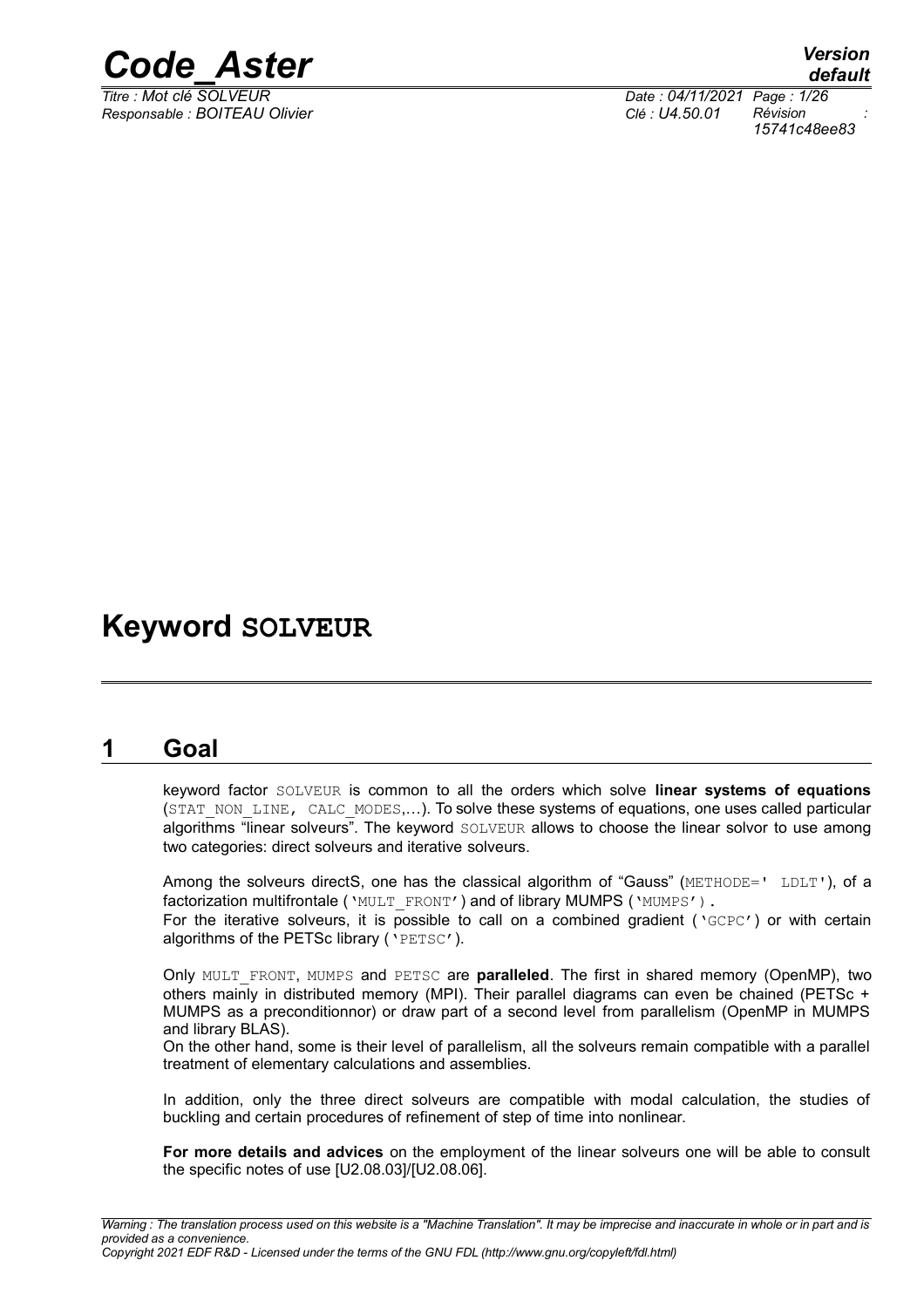

*Responsable : BOITEAU Olivier Clé : U4.50.01 Révision :*

*Titre : Mot clé SOLVEUR Date : 04/11/2021 Page : 1/26 15741c48ee83*

### **Keyword SOLVEUR**

### **1 Goal**

<span id="page-0-0"></span>keyword factor SOLVEUR is common to all the orders which solve **linear systems of equations** (STAT\_NON\_LINE, CALC\_MODES....). To solve these systems of equations, one uses called particular algorithms "linear solveurs". The keyword  $SOLVEUR$  allows to choose the linear solvor to use among two categories: direct solveurs and iterative solveurs.

Among the solveurs directS, one has the classical algorithm of "Gauss" (METHODE=' LDLT'), of a factorization multifrontale ('MULT\_FRONT') and of library MUMPS ('MUMPS').

For the iterative solveurs, it is possible to call on a combined gradient ( $\sqrt{GCPC}$ ) or with certain algorithms of the PETSc library ('PETSC').

Only MULT\_FRONT, MUMPS and PETSC are **paralleled**. The first in shared memory (OpenMP), two others mainly in distributed memory (MPI). Their parallel diagrams can even be chained (PETSc + MUMPS as a preconditionnor) or draw part of a second level from parallelism (OpenMP in MUMPS and library BLAS).

On the other hand, some is their level of parallelism, all the solveurs remain compatible with a parallel treatment of elementary calculations and assemblies.

In addition, only the three direct solveurs are compatible with modal calculation, the studies of buckling and certain procedures of refinement of step of time into nonlinear.

**For more details and advices** on the employment of the linear solveurs one will be able to consult the specific notes of use [U2.08.03]/[U2.08.06].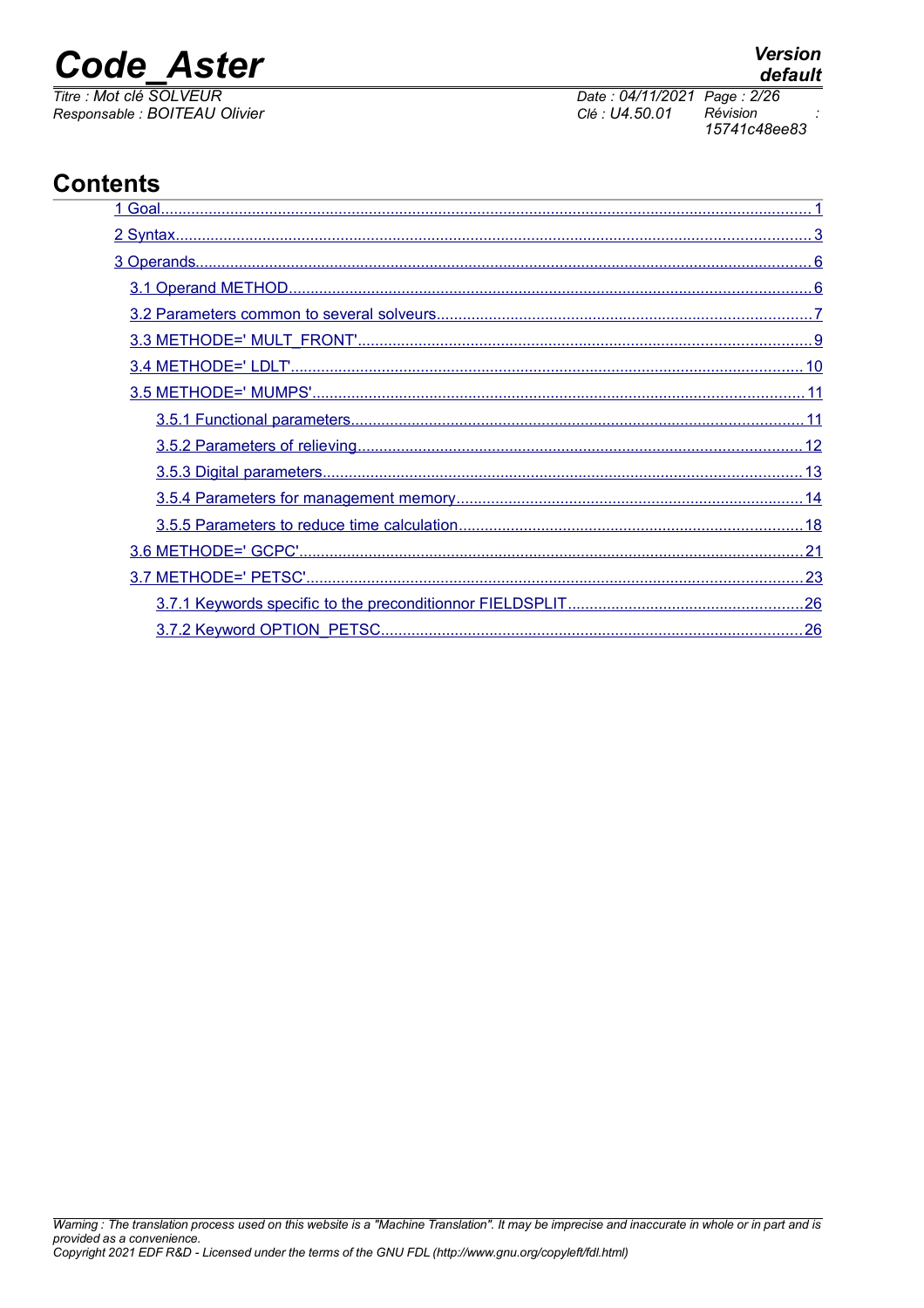## **Code Aster**

Titre : Mot clé SOLVEUR Responsable : BOITEAU Olivier

### **Contents**

#### **Version** default

Date: 04/11/2021 Page: 2/26 Clé : U4.50.01 Révision 15741c48ee83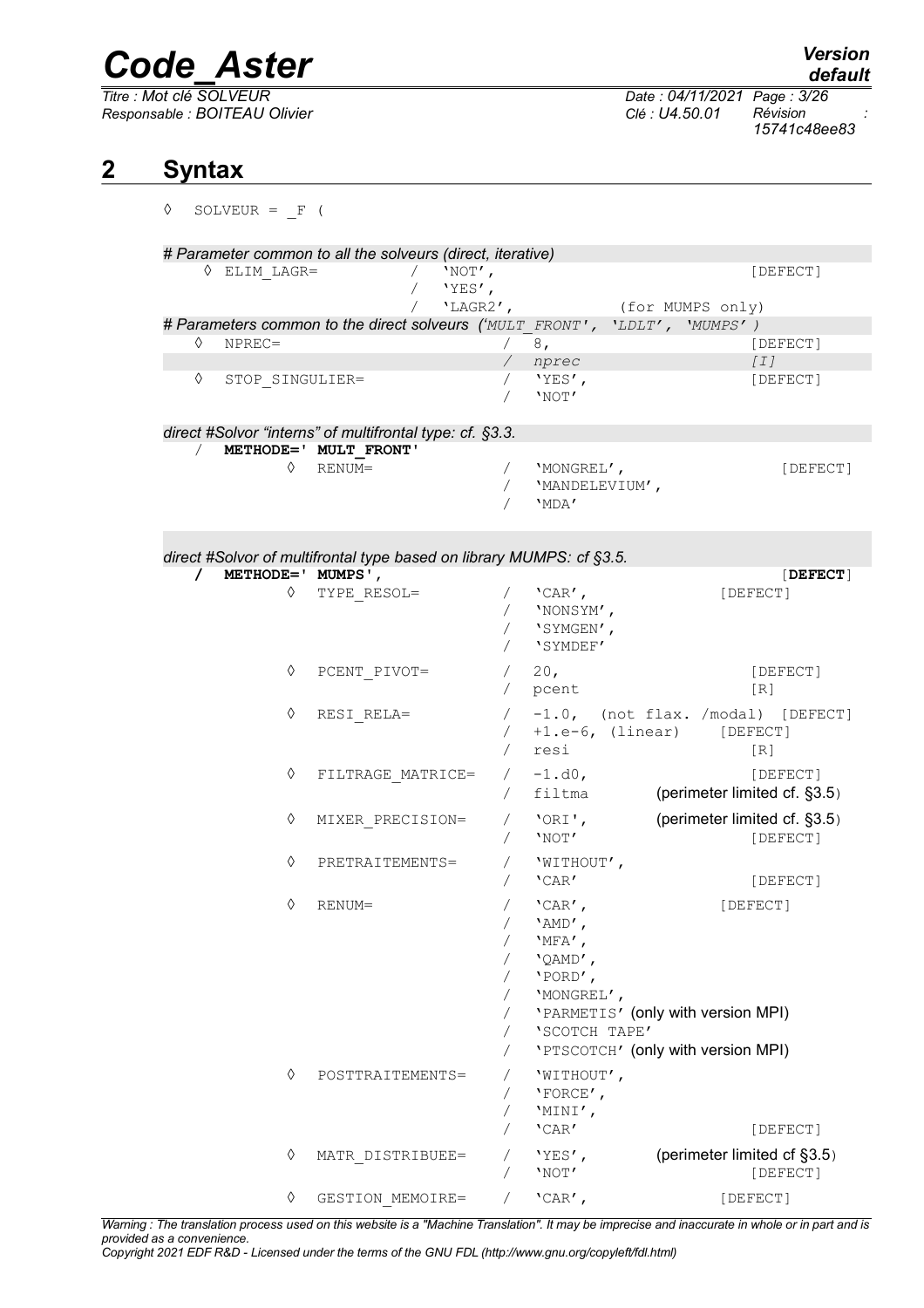$Responsible : BOITEAU$  Olivier

*Titre : Mot clé SOLVEUR Date : 04/11/2021 Page : 3/26 15741c48ee83*

### **2 Syntax**

<span id="page-2-0"></span>

| ♦ |          | SOLVEUR = $F($         |                                                                                   |                                      |                                                                                                                                                                    |                  |                                            |
|---|----------|------------------------|-----------------------------------------------------------------------------------|--------------------------------------|--------------------------------------------------------------------------------------------------------------------------------------------------------------------|------------------|--------------------------------------------|
|   |          | $\Diamond$ ELIM LAGR=  | # Parameter common to all the solveurs (direct, iterative)                        | / $'$ NOT',<br>'YES',<br>$'LAGR2'$ , |                                                                                                                                                                    | (for MUMPS only) | [DEFECT]                                   |
|   |          |                        | # Parameters common to the direct solveurs ('MULT FRONT', 'LDLT', 'MUMPS')        |                                      |                                                                                                                                                                    |                  |                                            |
|   | ♦        | $NPREC =$              |                                                                                   | /8,                                  |                                                                                                                                                                    |                  | [DEFECT]                                   |
|   |          |                        |                                                                                   |                                      | / nprec                                                                                                                                                            |                  | [I]                                        |
|   | ♦        | STOP SINGULIER=        |                                                                                   | $\sqrt{2}$                           | $\sqrt{1-\gamma}$<br>'NOT'                                                                                                                                         |                  | [DEFECT]                                   |
|   |          |                        |                                                                                   |                                      |                                                                                                                                                                    |                  |                                            |
|   |          |                        | direct #Solvor "interns" of multifrontal type: cf. §3.3.<br>METHODE=' MULT FRONT' |                                      |                                                                                                                                                                    |                  |                                            |
|   |          | ♦                      | RENUM=                                                                            | $\sqrt{2}$<br>$\sqrt{2}$             | 'MONGREL',<br>'MANDELEVIUM',<br>'MDA'                                                                                                                              |                  | [DEFECT]                                   |
|   |          |                        |                                                                                   |                                      |                                                                                                                                                                    |                  |                                            |
|   |          |                        | direct #Solvor of multifrontal type based on library MUMPS: cf §3.5.              |                                      |                                                                                                                                                                    |                  |                                            |
|   | $\prime$ | METHODE=' MUMPS',<br>♦ | TYPE RESOL=                                                                       |                                      | / $'$ CAR',<br>/ 'NONSYM',<br>'SYMGEN',<br>'SYMDEF'                                                                                                                | [DEFECT]         | [DEFECT]                                   |
|   |          | ♦                      | PCENT PIVOT=                                                                      |                                      | $/20$ ,<br>/ pcent                                                                                                                                                 |                  | [DEFECT]<br>[R]                            |
|   |          | ♦                      | RESI RELA=                                                                        |                                      | $/$ +1.e-6, (linear) [DEFECT]<br>/ resi                                                                                                                            |                  | / -1.0, (not flax. /modal) [DEFECT]<br>[R] |
|   |          | ♦                      | FILTRAGE MATRICE=                                                                 |                                      | $/ -1. d0,$<br>/ filtma                                                                                                                                            |                  | [DEFECT]<br>(perimeter limited cf. §3.5)   |
|   |          | ♦                      | MIXER PRECISION=                                                                  | $\sqrt{2}$                           | / 'ORI',<br>'NOT'                                                                                                                                                  |                  | (perimeter limited cf. §3.5)<br>[DEFECT]   |
|   |          | ♦                      | PRETRAITEMENTS=                                                                   | $\sqrt{2}$                           | 'WITHOUT',<br>'CAR'                                                                                                                                                |                  | [DEFECT]                                   |
|   |          | ♦                      | RENUM=                                                                            | Τ<br>$\sqrt{2}$<br>7<br>$\sqrt{2}$   | $'$ CAR $'$ ,<br>'AMD',<br>'MFA',<br>'QAMD',<br>'PORD',<br>'MONGREL',<br>'PARMETIS' (only with version MPI)<br>'SCOTCH TAPE'<br>'PTSCOTCH' (only with version MPI) | [DEFECT]         |                                            |
|   |          | ♦                      | POSTTRAITEMENTS=                                                                  |                                      | 'WITHOUT',<br>$'$ FORCE',<br>'MINI',<br>'CAR'                                                                                                                      |                  | [DEFECT]                                   |
|   |          | ♦                      | MATR DISTRIBUEE=                                                                  | Τ                                    | 'YES',<br>'NOT'                                                                                                                                                    |                  | (perimeter limited cf §3.5)<br>[DEFECT]    |
|   |          | ♦                      | GESTION MEMOIRE=                                                                  |                                      | $'$ CAR $'$ ,                                                                                                                                                      | [DEFECT]         |                                            |

*Warning : The translation process used on this website is a "Machine Translation". It may be imprecise and inaccurate in whole or in part and is provided as a convenience.*

*Copyright 2021 EDF R&D - Licensed under the terms of the GNU FDL (http://www.gnu.org/copyleft/fdl.html)*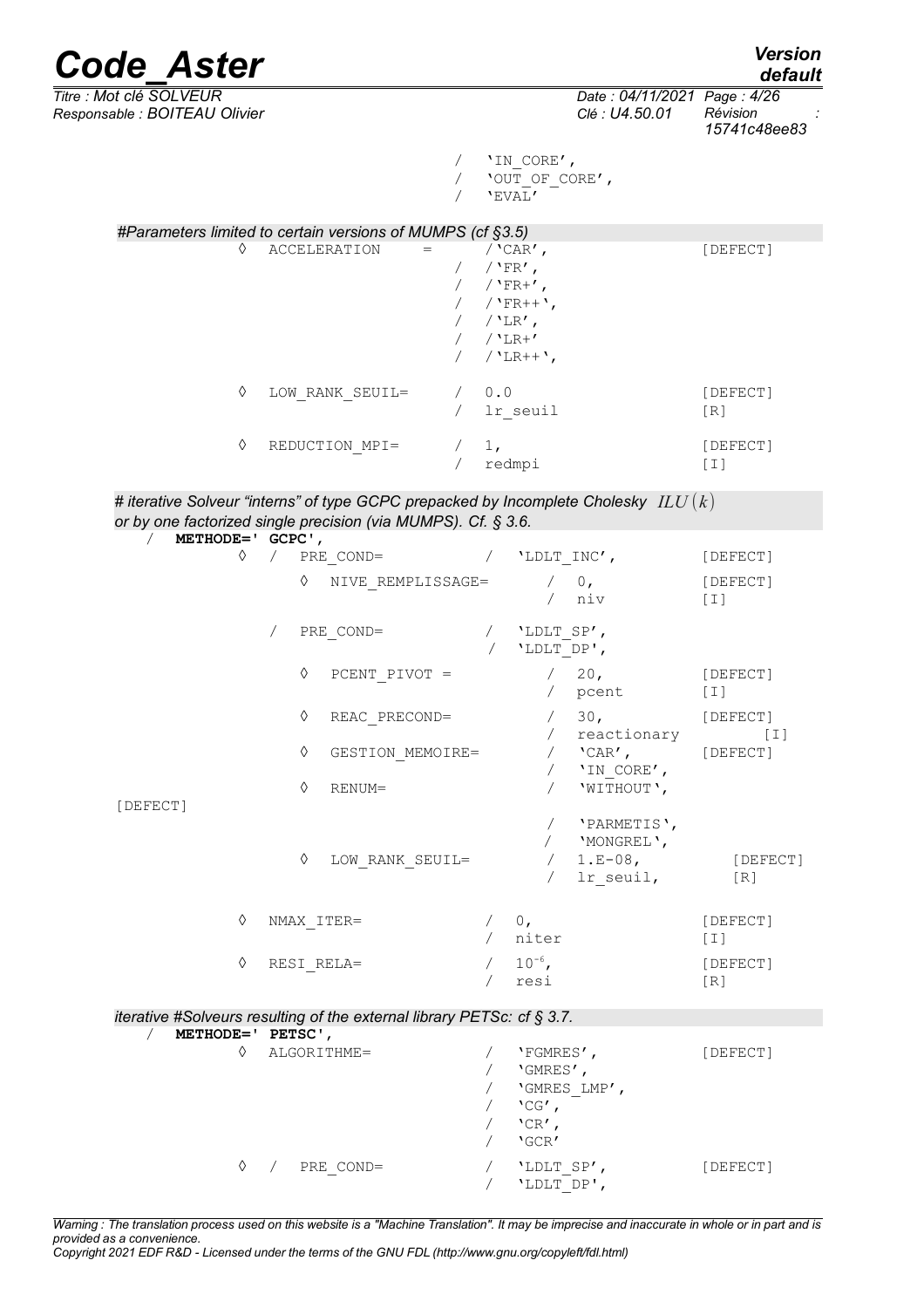

*default*

*Titre : Mot clé SOLVEUR Date : 04/11/2021 Page : 4/26 Responsable : BOITEAU Olivier Clé : U4.50.01 Révision : 15741c48ee83*

> / 'IN\_CORE', /  $'$  OUT OF CORE',  $/$  'EVAL'

|   | #Parameters limited to certain versions of MUMPS (cf §3.5) |                                                                                                     |                 |
|---|------------------------------------------------------------|-----------------------------------------------------------------------------------------------------|-----------------|
| ♦ | <b>ACCELERATION</b><br>$\, =$                              | / $'$ CAR $'$ ,<br>/ $'FR'$ ,<br>$/$ 'FR+',<br>$/$ 'FR++',<br>$/$ 'LR',<br>$/$ 'LR+'<br>$/$ 'LR++', | [DEFECT]        |
| ♦ | LOW RANK SEUIL=                                            | 0.0<br>lr seuil                                                                                     | [DEFECT]<br>[R] |
| ♦ | REDUCTION MPI=                                             | 1,<br>redmpi                                                                                        | [DEFECT]<br>T   |

| # iterative Solveur "interns" of type GCPC prepacked by Incomplete Cholesky $\; ILU(k)$ |  |
|-----------------------------------------------------------------------------------------|--|
| or by one factorized single precision (via MUMPS). Cf. § 3.6.                           |  |

| $\sqrt{2}$<br>METHODE=' GCPC',  |                                                                        |                          |                                                                        |                     |
|---------------------------------|------------------------------------------------------------------------|--------------------------|------------------------------------------------------------------------|---------------------|
| $\Diamond$                      | $\sqrt{2}$<br>PRE COND=                                                |                          | / $'$ LDLT INC',                                                       | [DEFECT]            |
|                                 | ♦<br>NIVE REMPLISSAGE=                                                 |                          | / 0,<br>niv                                                            | [DEFECT]<br>$[1]$   |
|                                 | PRE COND=<br>$\sqrt{2}$                                                |                          | / 'LDLT SP',<br>'LDLT DP',                                             |                     |
|                                 | ♦<br>PCENT PIVOT =                                                     |                          | $/20$ ,<br>pcent                                                       | [DEFECT]<br>$[1]$   |
|                                 | ♦<br>REAC PRECOND=                                                     |                          | 30 <sub>1</sub><br>/ reactionary                                       | [DEFECT]<br>[I]     |
|                                 | ♦<br>GESTION MEMOIRE=                                                  |                          | $\sqrt{CAR'}$ , [DEFECT]<br>'IN CORE',                                 |                     |
| [DEFECT]                        | ♦<br>RENUM=                                                            |                          | 'WITHOUT',                                                             |                     |
|                                 | ♦<br>LOW RANK SEUIL=                                                   |                          | 'PARMETIS',<br>'MONGREL',<br>$1.E-08$ ,<br>lr seuil,                   | [DEFECT]<br>[R]     |
| ♦                               | NMAX ITER=                                                             |                          | 0,<br>/ niter                                                          | [DEFECT]<br>[T]     |
| $\Diamond$                      | RESI RELA=                                                             |                          | $/ 10^{-6}$ ,<br>resi                                                  | [DEFECT]<br>$[ R ]$ |
|                                 | iterative #Solveurs resulting of the external library PETSc: cf § 3.7. |                          |                                                                        |                     |
| METHODE=' PETSC',<br>$\sqrt{2}$ |                                                                        |                          |                                                                        |                     |
| ♦                               | ALGORITHME=                                                            |                          | 'FGMRES',<br>'GMRES',<br>'GMRES LMP',<br>$'CG'$ ,<br>$'CR'$ ,<br>'GCR' | [DEFECT]            |
| ♦                               | PRE COND=                                                              | $\sqrt{2}$<br>$\sqrt{2}$ | 'LDLT SP',<br>'LDLT DP',                                               | [DEFECT]            |

*Warning : The translation process used on this website is a "Machine Translation". It may be imprecise and inaccurate in whole or in part and is provided as a convenience.*

*Copyright 2021 EDF R&D - Licensed under the terms of the GNU FDL (http://www.gnu.org/copyleft/fdl.html)*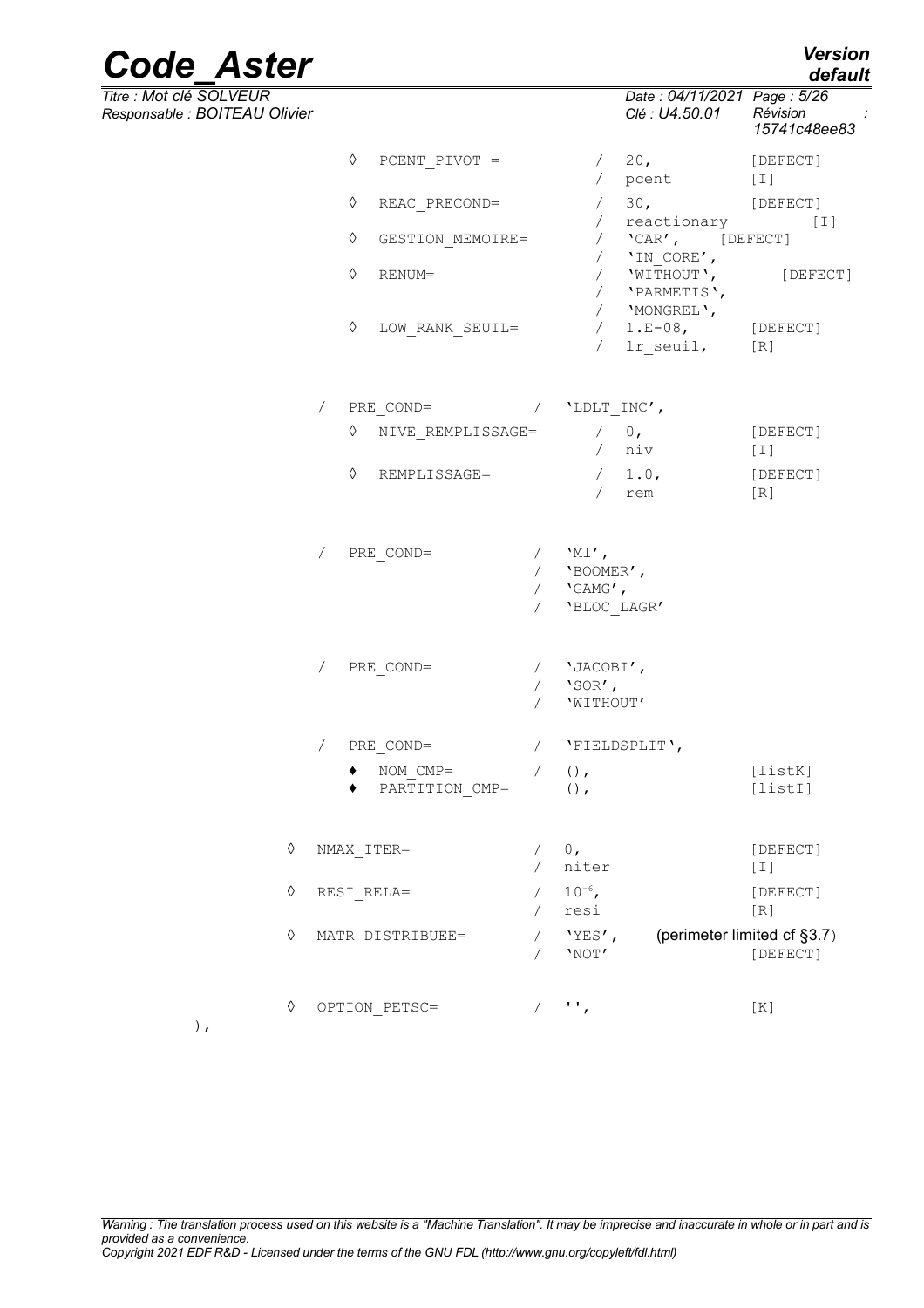| <b>Code Aster</b> | <b>Version</b> |
|-------------------|----------------|
|                   | default        |

*Titre : Mot clé SOLVEUR Date : 04/11/2021 Page : 5/26*

| Responsable : BOITEAU Olivier |                                           |                                                            | Clé : U4.50.01 Révision                                | $\sim 10^{11}$ m $^{-1}$<br>15741c48ee83 |
|-------------------------------|-------------------------------------------|------------------------------------------------------------|--------------------------------------------------------|------------------------------------------|
|                               | ♦<br>PCENT PIVOT $=$                      |                                                            | $\frac{1}{20}$ ,<br>/ pcent                            | [DEFECT]<br>$[1]$                        |
|                               | ♦<br>REAC PRECOND=                        |                                                            | / 30,                                                  | [DEFECT]                                 |
|                               | $\Diamond$<br>GESTION MEMOIRE=            | $\sqrt{2}$                                                 | reactionary<br>/ $'$ CAR', [DEFECT]<br>/ $'IN_CORE'$ , | [I]                                      |
|                               | $\Diamond$<br>RENUM=                      |                                                            | / 'WITHOUT', [DEFECT]<br>/ 'PARMETIS',<br>/ 'MONGREL', |                                          |
|                               | $\Diamond$<br>LOW RANK SEUIL=             | $\sqrt{2}$                                                 | $/ 1.E-08$ , [DEFECT]<br>lr seuil, [R]                 |                                          |
|                               | $PRE$ COND= / $'LDLT$ INC',<br>$\sqrt{2}$ |                                                            |                                                        |                                          |
|                               | ♦<br>NIVE REMPLISSAGE=                    |                                                            | $/$ 0,<br>/ niv                                        | [DEFECT]<br>$[1]$                        |
|                               | ♦<br>REMPLISSAGE=                         |                                                            | $/1.0$ ,<br>rem                                        | [DEFECT]<br>[R]                          |
|                               | PRE COND=<br>$\sqrt{2}$                   | / $'Ml'$ ,<br>/ $'BOOMER'$ ,<br>/ $'GHMG'$ ,<br>$\sqrt{2}$ | 'BLOC LAGR'                                            |                                          |
|                               | / PRE COND=                               | / $'JACOBI'$ ,<br>$/$ 'SOR',<br>'WITHOUT'<br>$\sqrt{2}$    |                                                        |                                          |
|                               | / PRE COND=                               | / 'FIELDSPLIT',                                            |                                                        |                                          |
|                               | NOM CMP=<br>◆ PARTITION CMP=              | $()$ ,<br>$\sqrt{2}$<br>$()$ ,                             |                                                        | [listK]<br>[list]                        |
| ♦                             | NMAX ITER=                                | 0,<br>niter                                                |                                                        | [DEFECT]<br>$[1]$                        |
| ♦                             | RESI RELA=                                | $10^{-6}$ ,<br>resi                                        |                                                        | [DEFECT]<br>$[ R ]$                      |
| ♦                             | MATR DISTRIBUEE=                          | $'YES'$ ,<br>$\sqrt{2}$<br>'NOT'                           |                                                        | (perimeter limited cf §3.7)<br>[DEFECT]  |
| $\Diamond$                    | OPTION PETSC=                             | $/$ $\cdots$                                               |                                                        | [K]                                      |

),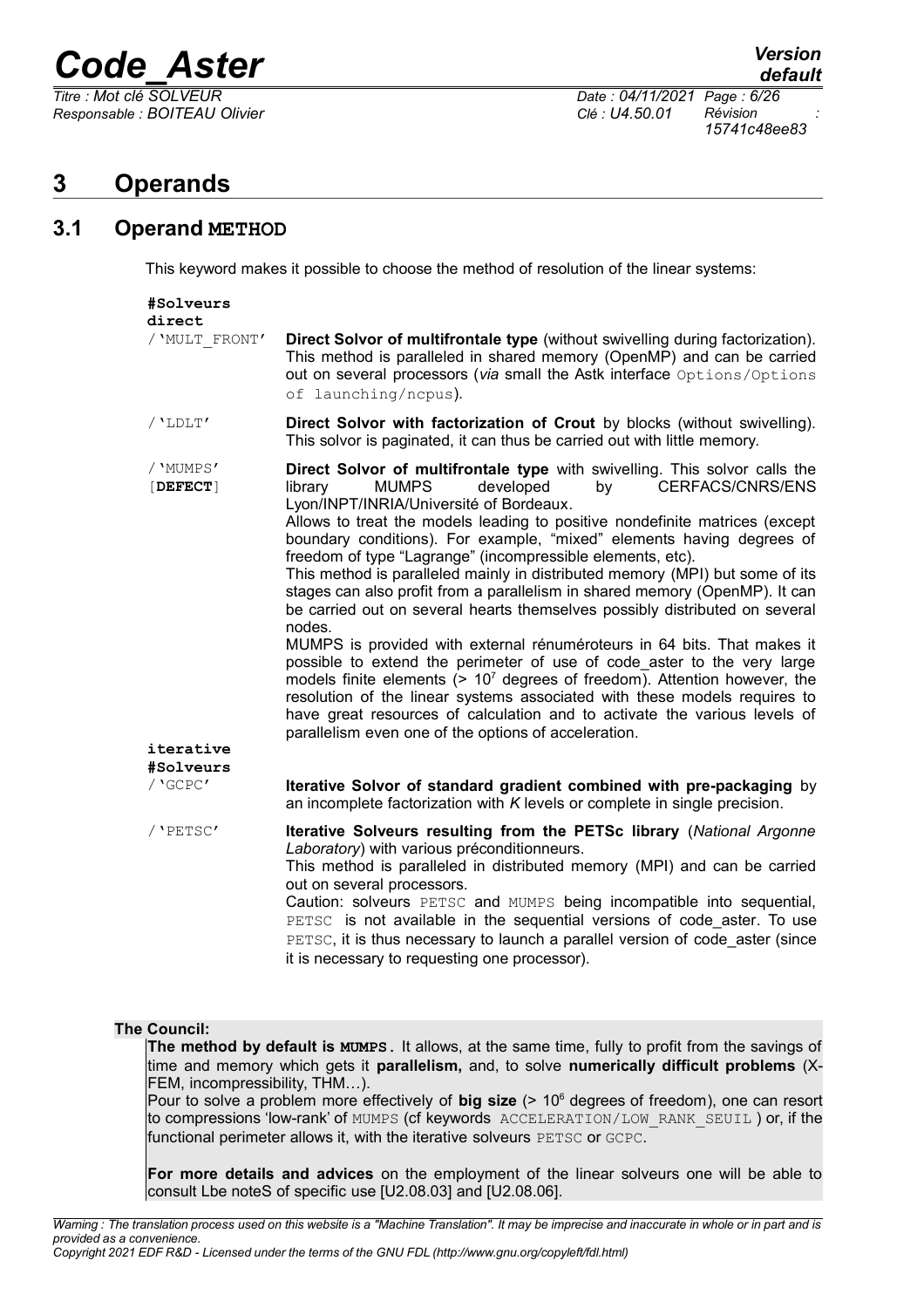*Responsable : BOITEAU Olivier Clé : U4.50.01 Révision :*

*Titre : Mot clé SOLVEUR Date : 04/11/2021 Page : 6/26 15741c48ee83*

### <span id="page-5-1"></span>**3 Operands**

### **3.1 Operand METHOD**

<span id="page-5-0"></span>This keyword makes it possible to choose the method of resolution of the linear systems:

| #Solveurs<br>direct    |                                                                                                                                                                                                                                                                                                                                                                                                                                                                                                                                                                                                                                                                                                                                                                                                                                                                                                                                                                                                                                                                                                                              |
|------------------------|------------------------------------------------------------------------------------------------------------------------------------------------------------------------------------------------------------------------------------------------------------------------------------------------------------------------------------------------------------------------------------------------------------------------------------------------------------------------------------------------------------------------------------------------------------------------------------------------------------------------------------------------------------------------------------------------------------------------------------------------------------------------------------------------------------------------------------------------------------------------------------------------------------------------------------------------------------------------------------------------------------------------------------------------------------------------------------------------------------------------------|
| / 'MULT FRONT'         | Direct Solvor of multifrontale type (without swivelling during factorization).<br>This method is paralleled in shared memory (OpenMP) and can be carried<br>out on several processors (via small the Astk interface Options/Options<br>of launching/ncpus).                                                                                                                                                                                                                                                                                                                                                                                                                                                                                                                                                                                                                                                                                                                                                                                                                                                                  |
| $/$ 'LDLT $'$          | Direct Solvor with factorization of Crout by blocks (without swivelling).<br>This solvor is paginated, it can thus be carried out with little memory.                                                                                                                                                                                                                                                                                                                                                                                                                                                                                                                                                                                                                                                                                                                                                                                                                                                                                                                                                                        |
| / 'MUMPS'<br>[DEFECT]  | Direct Solvor of multifrontale type with swivelling. This solvor calls the<br><b>MUMPS</b><br>developed<br>by<br>CERFACS/CNRS/ENS<br>library<br>Lyon/INPT/INRIA/Université of Bordeaux.<br>Allows to treat the models leading to positive nondefinite matrices (except<br>boundary conditions). For example, "mixed" elements having degrees of<br>freedom of type "Lagrange" (incompressible elements, etc).<br>This method is paralleled mainly in distributed memory (MPI) but some of its<br>stages can also profit from a parallelism in shared memory (OpenMP). It can<br>be carried out on several hearts themselves possibly distributed on several<br>nodes.<br>MUMPS is provided with external rénuméroteurs in 64 bits. That makes it<br>possible to extend the perimeter of use of code aster to the very large<br>models finite elements $(> 107$ degrees of freedom). Attention however, the<br>resolution of the linear systems associated with these models requires to<br>have great resources of calculation and to activate the various levels of<br>parallelism even one of the options of acceleration. |
| iterative<br>#Solveurs |                                                                                                                                                                                                                                                                                                                                                                                                                                                                                                                                                                                                                                                                                                                                                                                                                                                                                                                                                                                                                                                                                                                              |
| / 'GCPC'               | Iterative Solvor of standard gradient combined with pre-packaging by<br>an incomplete factorization with $K$ levels or complete in single precision.                                                                                                                                                                                                                                                                                                                                                                                                                                                                                                                                                                                                                                                                                                                                                                                                                                                                                                                                                                         |
| / 'PETSC'              | Iterative Solveurs resulting from the PETSc library (National Argonne<br>Laboratory) with various préconditionneurs.<br>This method is paralleled in distributed memory (MPI) and can be carried<br>out on several processors.<br>Caution: solveurs PETSC and MUMPS being incompatible into sequential,<br>PETSC is not available in the sequential versions of code aster. To use<br>PETSC, it is thus necessary to launch a parallel version of code aster (since<br>it is necessary to requesting one processor).                                                                                                                                                                                                                                                                                                                                                                                                                                                                                                                                                                                                         |

#### **The Council:**

**The method by default is MUMPS**. It allows, at the same time, fully to profit from the savings of time and memory which gets it **parallelism,** and, to solve **numerically difficult problems** (X-FEM, incompressibility, THM…).

Pour to solve a problem more effectively of **big size** (> 10<sup>6</sup> degrees of freedom), one can resort to compressions 'low-rank' of MUMPS (cf keywords ACCELERATION/LOW\_RANK\_SEUIL ) or, if the functional perimeter allows it, with the iterative solveurs PETSC or GCPC.

**For more details and advices** on the employment of the linear solveurs one will be able to consult Lbe noteS of specific use [U2.08.03] and [U2.08.06].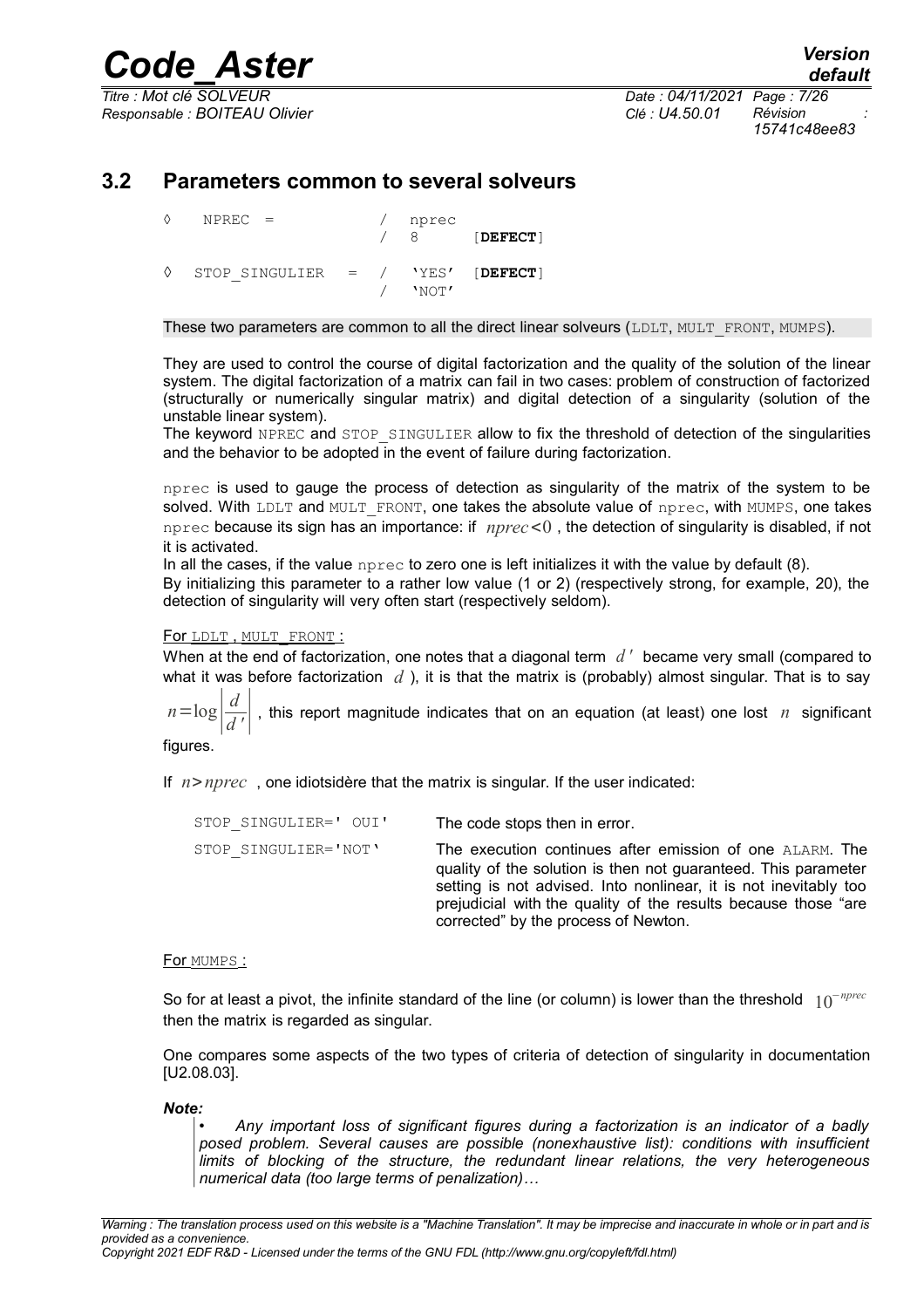*Responsable : BOITEAU Olivier Clé : U4.50.01 Révision :*

*Titre : Mot clé SOLVEUR Date : 04/11/2021 Page : 7/26 15741c48ee83*

### **3.2 Parameters common to several solveurs**

<span id="page-6-0"></span>

| ♦ | $NPREC =$                           |  | nprec | <b>DEFECT</b> |
|---|-------------------------------------|--|-------|---------------|
| ♦ | STOP SINGULIER = $/$ 'YES' [DEFECT] |  | 'NOT' |               |

#### These two parameters are common to all the direct linear solveurs (LDLT, MULT\_FRONT, MUMPS).

They are used to control the course of digital factorization and the quality of the solution of the linear system. The digital factorization of a matrix can fail in two cases: problem of construction of factorized (structurally or numerically singular matrix) and digital detection of a singularity (solution of the unstable linear system).

The keyword NPREC and STOP SINGULIER allow to fix the threshold of detection of the singularities and the behavior to be adopted in the event of failure during factorization.

nprec is used to gauge the process of detection as singularity of the matrix of the system to be solved. With LDLT and MULT FRONT, one takes the absolute value of nprec, with MUMPS, one takes nprec because its sign has an importance: if *nprec*<0 , the detection of singularity is disabled, if not it is activated.

In all the cases, if the value  $n_{\text{prec}}$  to zero one is left initializes it with the value by default (8).

By initializing this parameter to a rather low value (1 or 2) (respectively strong, for example, 20), the detection of singularity will very often start (respectively seldom).

#### For LDLT, MULT\_FRONT :

When at the end of factorization, one notes that a diagonal term *d '* became very small (compared to what it was before factorization *d* ), it is that the matrix is (probably) almost singular. That is to say

 $n = log$ *d <sup>d</sup> '*<sup>∣</sup> , this report magnitude indicates that on an equation (at least) one lost *n* significant

figures.

If *n*>*nprec* , one idiotsidère that the matrix is singular. If the user indicated:

| STOP SINGULIER=' OUI' | The code stops then in error.                                                                                                                                                                                                                                                                             |
|-----------------------|-----------------------------------------------------------------------------------------------------------------------------------------------------------------------------------------------------------------------------------------------------------------------------------------------------------|
| STOP SINGULIER='NOT'  | The execution continues after emission of one ALARM. The<br>quality of the solution is then not guaranteed. This parameter<br>setting is not advised. Into nonlinear, it is not inevitably too<br>prejudicial with the quality of the results because those "are"<br>corrected" by the process of Newton. |

#### For MUMPS:

So for at least a pivot, the infinite standard of the line (or column) is lower than the threshold 10<sup>−</sup>*nprec* then the matrix is regarded as singular.

One compares some aspects of the two types of criteria of detection of singularity in documentation [U2.08.03].

*Note:*

• *Any important loss of significant figures during a factorization is an indicator of a badly posed problem. Several causes are possible (nonexhaustive list): conditions with insufficient limits of blocking of the structure, the redundant linear relations, the very heterogeneous numerical data (too large terms of penalization)…*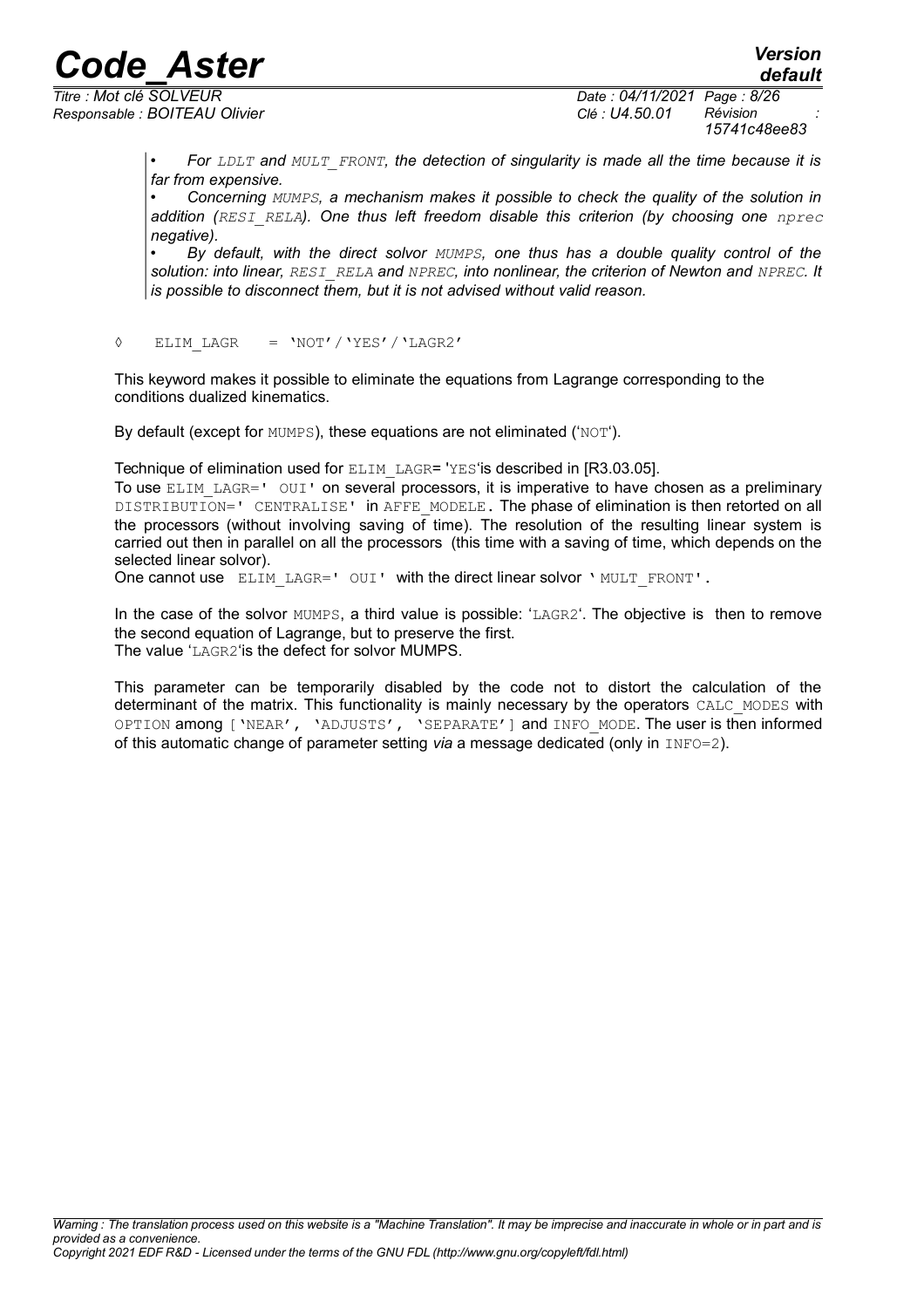*Responsable : BOITEAU Olivier Clé : U4.50.01 Révision :*

*Titre : Mot clé SOLVEUR Date : 04/11/2021 Page : 8/26 15741c48ee83*

> • *For LDLT and MULT\_FRONT, the detection of singularity is made all the time because it is far from expensive.*

> • *Concerning MUMPS, a mechanism makes it possible to check the quality of the solution in addition (RESI\_RELA). One thus left freedom disable this criterion (by choosing one nprec negative).*

> • *By default, with the direct solvor MUMPS, one thus has a double quality control of the solution: into linear, RESI\_RELA and NPREC, into nonlinear, the criterion of Newton and NPREC. It is possible to disconnect them, but it is not advised without valid reason.*

◊ ELIM\_LAGR = 'NOT'/'YES'/'LAGR2'

This keyword makes it possible to eliminate the equations from Lagrange corresponding to the conditions dualized kinematics.

By default (except for MUMPS), these equations are not eliminated ('NOT').

Technique of elimination used for ELIM\_LAGR= 'YES'is described in [R3.03.05].

To use ELIM LAGR=' OUI' on several processors, it is imperative to have chosen as a preliminary DISTRIBUTION=' CENTRALISE' in AFFE\_MODELE. The phase of elimination is then retorted on all the processors (without involving saving of time). The resolution of the resulting linear system is carried out then in parallel on all the processors (this time with a saving of time, which depends on the selected linear solvor).

One cannot use ELIM LAGR=' OUI' with the direct linear solvor ' MULT\_FRONT'.

In the case of the solvor MUMPS, a third value is possible: 'LAGR2'. The objective is then to remove the second equation of Lagrange, but to preserve the first. The value 'LAGR2'is the defect for solvor MUMPS.

This parameter can be temporarily disabled by the code not to distort the calculation of the determinant of the matrix. This functionality is mainly necessary by the operators CALC MODES with OPTION among ['NEAR', 'ADJUSTS', 'SEPARATE'] and INFO\_MODE. The user is then informed of this automatic change of parameter setting *via* a message dedicated (only in INFO=2).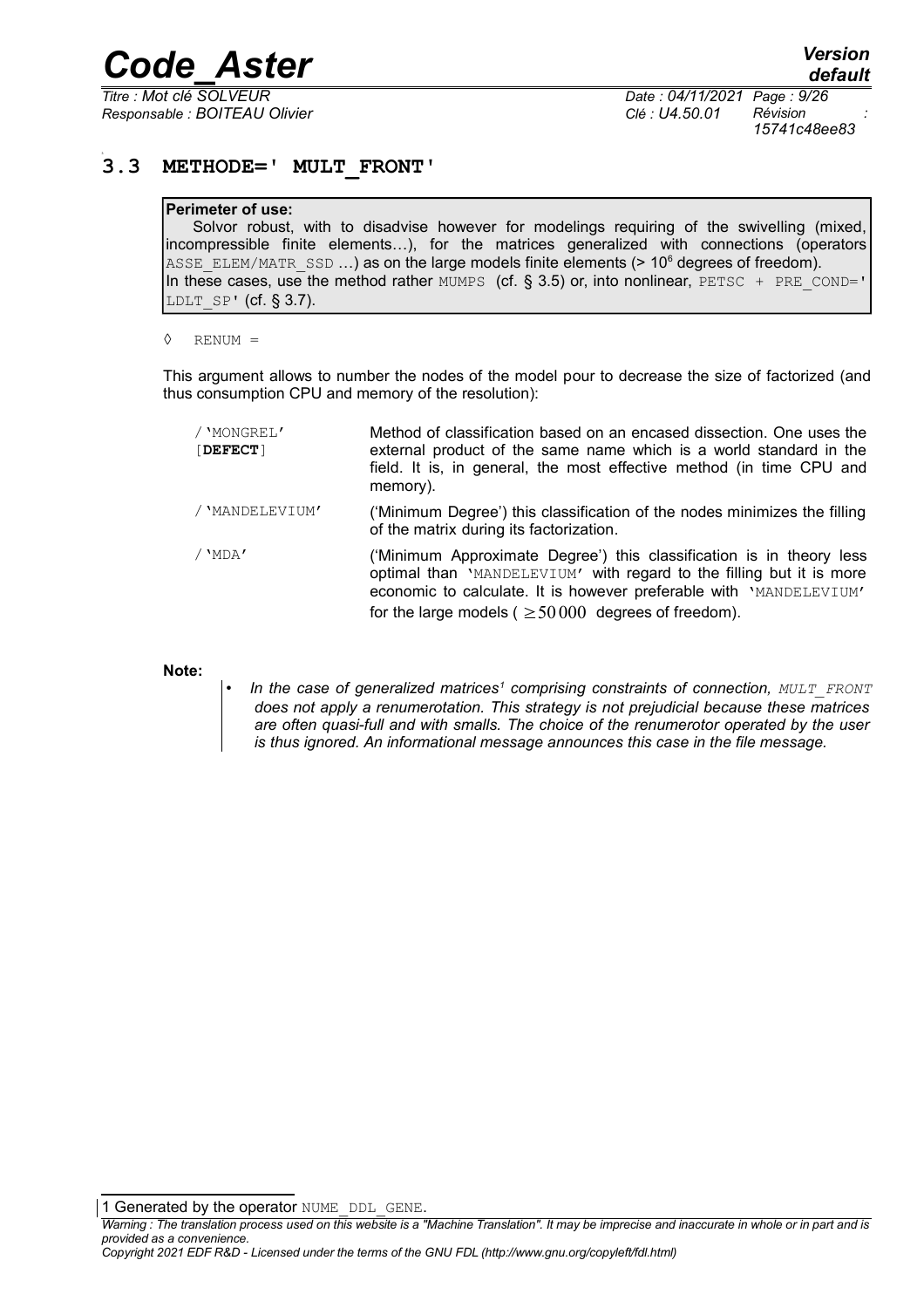*Responsable : BOITEAU Olivier Clé : U4.50.01 Révision :*

*Titre : Mot clé SOLVEUR Date : 04/11/2021 Page : 9/26 15741c48ee83*

#### **3.3 METHODE=' MULT\_FRONT'**

#### <span id="page-8-0"></span>**Perimeter of use:**

Solvor robust, with to disadvise however for modelings requiring of the swivelling (mixed, incompressible finite elements…), for the matrices generalized with connections (operators ASSE ELEM/MATR SSD ...) as on the large models finite elements (> 10<sup>6</sup> degrees of freedom). In these cases, use the method rather MUMPS (cf.  $\S$  3.5) or, into nonlinear, PETSC + PRE\_COND=' LDLT  $SP'$  (cf. § 3.7).

◊ RENUM =

This argument allows to number the nodes of the model pour to decrease the size of factorized (and thus consumption CPU and memory of the resolution):

| / 'MONGREL'<br>[DEFECT] | Method of classification based on an encased dissection. One uses the<br>external product of the same name which is a world standard in the<br>field. It is, in general, the most effective method (in time CPU and<br>memory).                                                |
|-------------------------|--------------------------------------------------------------------------------------------------------------------------------------------------------------------------------------------------------------------------------------------------------------------------------|
| / 'MANDELEVIUM'         | ('Minimum Degree') this classification of the nodes minimizes the filling<br>of the matrix during its factorization.                                                                                                                                                           |
| / 'MDA'                 | ('Minimum Approximate Degree') this classification is in theory less<br>optimal than 'MANDELEVIUM' with regard to the filling but it is more<br>economic to calculate. It is however preferable with 'MANDELEVIUM'<br>for the large models ( $\geq$ 50000 degrees of freedom). |

#### **Note:**

• *In the case of generalized matrices[1](#page-8-1) comprising constraints of connection, MULT\_FRONT does not apply a renumerotation. This strategy is not prejudicial because these matrices are often quasi-full and with smalls. The choice of the renumerotor operated by the user is thus ignored. An informational message announces this case in the file message.*

<span id="page-8-1"></span>1 Generated by the operator NUME\_DDL\_GENE.

*Copyright 2021 EDF R&D - Licensed under the terms of the GNU FDL (http://www.gnu.org/copyleft/fdl.html)*

*Warning : The translation process used on this website is a "Machine Translation". It may be imprecise and inaccurate in whole or in part and is provided as a convenience.*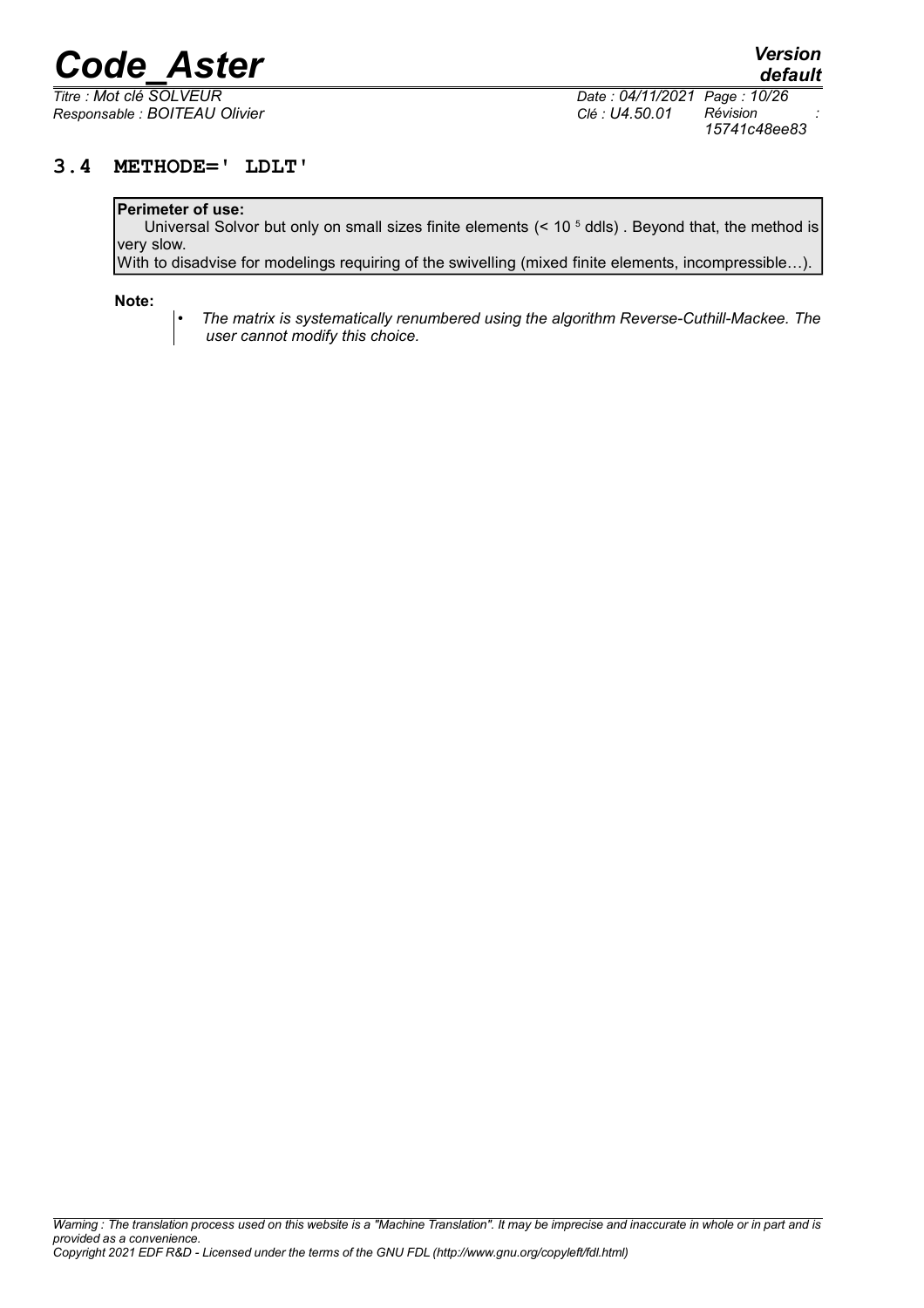*Responsable : BOITEAU Olivier Clé : U4.50.01 Révision :*

*default Titre : Mot clé SOLVEUR Date : 04/11/2021 Page : 10/26 15741c48ee83*

#### **3.4 METHODE=' LDLT'**

#### <span id="page-9-0"></span>**Perimeter of use:**

Universal Solvor but only on small sizes finite elements (< 10<sup>5</sup> ddls). Beyond that, the method is very slow.

With to disadvise for modelings requiring of the swivelling (mixed finite elements, incompressible…).

**Note:**

• *The matrix is systematically renumbered using the algorithm Reverse-Cuthill-Mackee. The user cannot modify this choice.*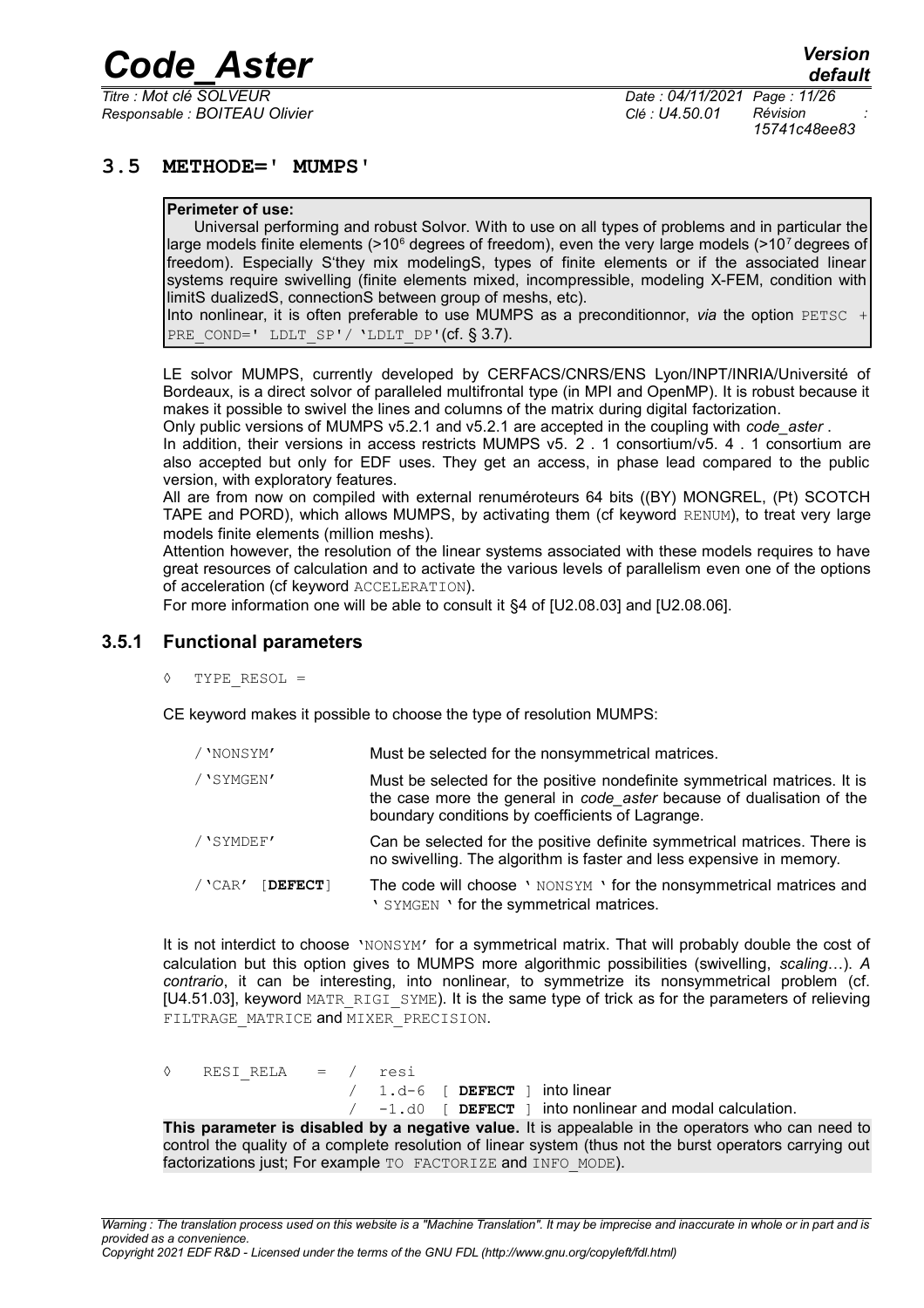*Responsable : BOITEAU Olivier Clé : U4.50.01 Révision :*

*Titre : Mot clé SOLVEUR Date : 04/11/2021 Page : 11/26 15741c48ee83*

#### **3.5 METHODE=' MUMPS'**

#### <span id="page-10-1"></span>**Perimeter of use:**

Universal performing and robust Solvor. With to use on all types of problems and in particular the large models finite elements (>10<sup>6</sup> degrees of freedom), even the very large models (>10<sup>7</sup> degrees of freedom). Especially S'they mix modelingS, types of finite elements or if the associated linear systems require swivelling (finite elements mixed, incompressible, modeling X-FEM, condition with limitS dualizedS, connectionS between group of meshs, etc).

Into nonlinear, it is often preferable to use MUMPS as a preconditionnor, *via* the option PETSC + PRE COND=' LDLT  $SP'/$  'LDLT DP'(cf. § 3.7).

LE solvor MUMPS, currently developed by CERFACS/CNRS/ENS Lyon/INPT/INRIA/Université of Bordeaux, is a direct solvor of paralleled multifrontal type (in MPI and OpenMP). It is robust because it makes it possible to swivel the lines and columns of the matrix during digital factorization.

Only public versions of MUMPS v5.2.1 and v5.2.1 are accepted in the coupling with *code\_aster* .

In addition, their versions in access restricts MUMPS v5. 2 . 1 consortium/v5. 4 . 1 consortium are also accepted but only for EDF uses. They get an access, in phase lead compared to the public version, with exploratory features.

All are from now on compiled with external renuméroteurs 64 bits ((BY) MONGREL, (Pt) SCOTCH TAPE and PORD), which allows MUMPS, by activating them (cf keyword RENUM), to treat very large models finite elements (million meshs).

Attention however, the resolution of the linear systems associated with these models requires to have great resources of calculation and to activate the various levels of parallelism even one of the options of acceleration (cf keyword ACCELERATION).

<span id="page-10-0"></span>For more information one will be able to consult it §4 of [U2.08.03] and [U2.08.06].

#### **3.5.1 Functional parameters**

◊ TYPE\_RESOL =

CE keyword makes it possible to choose the type of resolution MUMPS:

| / 'NONSYM'            | Must be selected for the nonsymmetrical matrices.                                                                                                                                                      |
|-----------------------|--------------------------------------------------------------------------------------------------------------------------------------------------------------------------------------------------------|
| /'SYMGEN'             | Must be selected for the positive nondefinite symmetrical matrices. It is<br>the case more the general in code aster because of dualisation of the<br>boundary conditions by coefficients of Lagrange. |
| /'SYMDEF'             | Can be selected for the positive definite symmetrical matrices. There is<br>no swivelling. The algorithm is faster and less expensive in memory.                                                       |
| $/$ 'CAR'<br>[DEFECT] | The code will choose ' NONSYM ' for the nonsymmetrical matrices and<br>' SYMGEN ' for the symmetrical matrices.                                                                                        |

It is not interdict to choose 'NONSYM' for a symmetrical matrix. That will probably double the cost of calculation but this option gives to MUMPS more algorithmic possibilities (swivelling, *scaling*…). *A contrario*, it can be interesting, into nonlinear, to symmetrize its nonsymmetrical problem (cf. [U4.51.03], keyword MATR\_RIGI\_SYME). It is the same type of trick as for the parameters of relieving FILTRAGE MATRICE and MIXER PRECISION.

◊ RESI\_RELA = / resi

/ 1.d-6 [ **DEFECT** ] into linear

/ -1.d0 [ **DEFECT** ] into nonlinear and modal calculation.

**This parameter is disabled by a negative value.** It is appealable in the operators who can need to control the quality of a complete resolution of linear system (thus not the burst operators carrying out factorizations just; For example TO FACTORIZE and INFO MODE).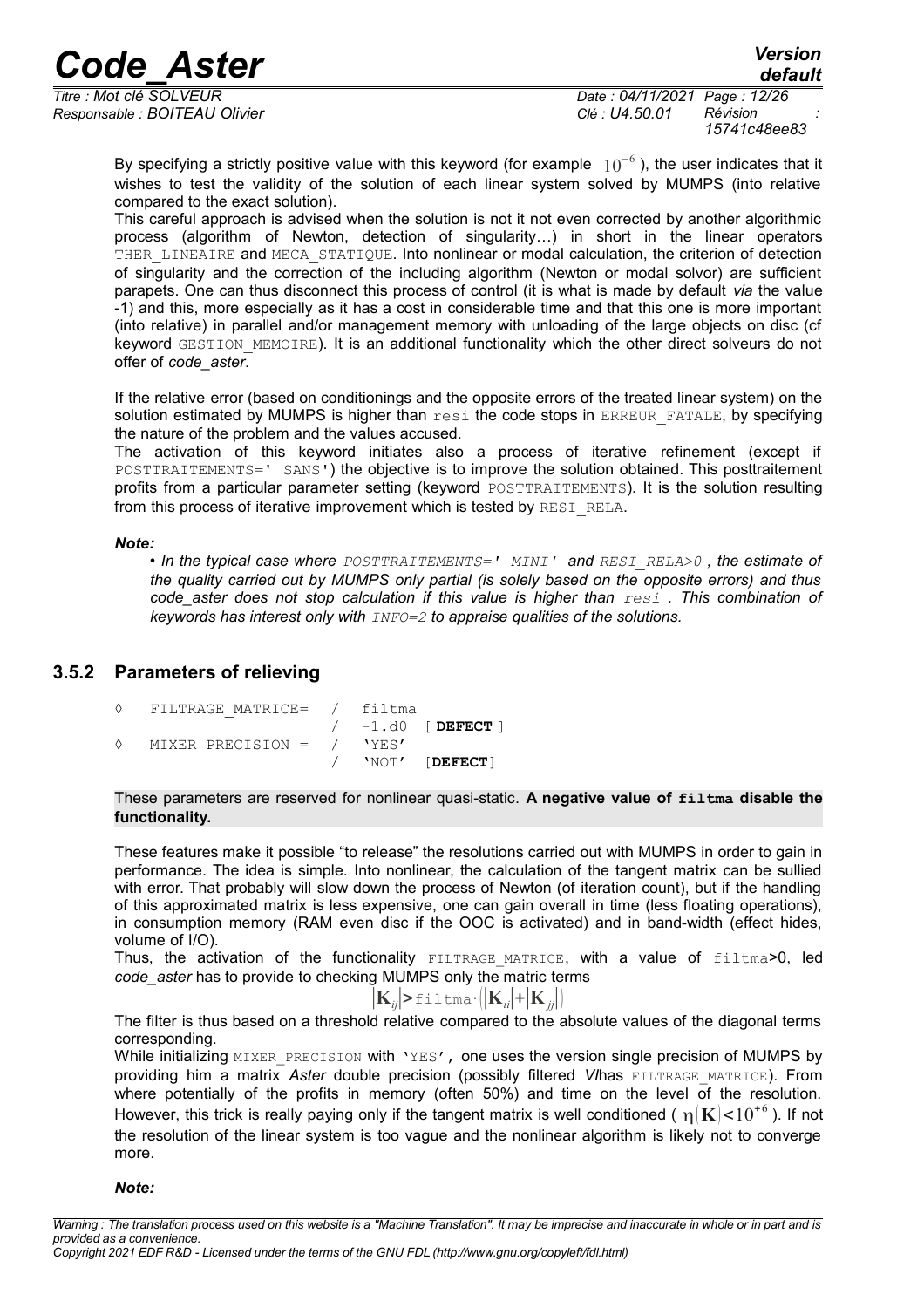*default*

*Responsable : BOITEAU Olivier Clé : U4.50.01 Révision :*

*Titre : Mot clé SOLVEUR Date : 04/11/2021 Page : 12/26 15741c48ee83*

By specifying a strictly positive value with this keyword (for example  $10^{-6}$  ), the user indicates that it wishes to test the validity of the solution of each linear system solved by MUMPS (into relative compared to the exact solution).

This careful approach is advised when the solution is not it not even corrected by another algorithmic process (algorithm of Newton, detection of singularity…) in short in the linear operators THER\_LINEAIRE and MECA\_STATIQUE. Into nonlinear or modal calculation, the criterion of detection of singularity and the correction of the including algorithm (Newton or modal solvor) are sufficient parapets. One can thus disconnect this process of control (it is what is made by default *via* the value -1) and this, more especially as it has a cost in considerable time and that this one is more important (into relative) in parallel and/or management memory with unloading of the large objects on disc (cf keyword GESTION MEMOIRE). It is an additional functionality which the other direct solveurs do not offer of *code\_aster*.

If the relative error (based on conditionings and the opposite errors of the treated linear system) on the solution estimated by MUMPS is higher than resi the code stops in ERREUR FATALE, by specifying the nature of the problem and the values accused.

The activation of this keyword initiates also a process of iterative refinement (except if POSTTRAITEMENTS=' SANS') the objective is to improve the solution obtained. This posttraitement profits from a particular parameter setting (keyword POSTTRAITEMENTS). It is the solution resulting from this process of iterative improvement which is tested by RESI\_RELA.

#### *Note:*

• *In the typical case where POSTTRAITEMENTS=' MINI' and RESI\_RELA>0 , the estimate of the quality carried out by MUMPS only partial (is solely based on the opposite errors) and thus code\_aster does not stop calculation if this value is higher than resi . This combination of keywords has interest only with INFO=2 to appraise qualities of the solutions.*

#### **3.5.2 Parameters of relieving**

<span id="page-11-0"></span>

| ♦ | FILTRAGE MATRICE= / filtma  |  |                        |
|---|-----------------------------|--|------------------------|
|   |                             |  | $/ -1.$ d $0$ [DEFECT] |
| ♦ | MIXER PRECISION = $/$ 'YES' |  |                        |
|   |                             |  | $/$ 'NOT' [DEFECT]     |

These parameters are reserved for nonlinear quasi-static. **A negative value of filtma disable the functionality.**

These features make it possible "to release" the resolutions carried out with MUMPS in order to gain in performance. The idea is simple. Into nonlinear, the calculation of the tangent matrix can be sullied with error. That probably will slow down the process of Newton (of iteration count), but if the handling of this approximated matrix is less expensive, one can gain overall in time (less floating operations), in consumption memory (RAM even disc if the OOC is activated) and in band-width (effect hides, volume of I/O).

Thus, the activation of the functionality FILTRAGE MATRICE, with a value of filtma>0, led *code\_aster* has to provide to checking MUMPS only the matric terms

$$
\left| \mathbf{K}_{ij} \right| > \text{fill}\,\text{tmm}\,\cdot\,\left| \mathbf{K}_{ii} \right| + \left| \mathbf{K}_{jj} \right| \right)
$$

The filter is thus based on a threshold relative compared to the absolute values of the diagonal terms corresponding.

While initializing MIXER PRECISION with 'YES', one uses the version single precision of MUMPS by providing him a matrix Aster double precision (possibly filtered V/has FILTRAGE MATRICE). From where potentially of the profits in memory (often 50%) and time on the level of the resolution. However, this trick is really paying only if the tangent matrix is well conditioned (  $\eta({\bf K})$ <10<sup>+6</sup> ). If not the resolution of the linear system is too vague and the nonlinear algorithm is likely not to converge more.

*Note:*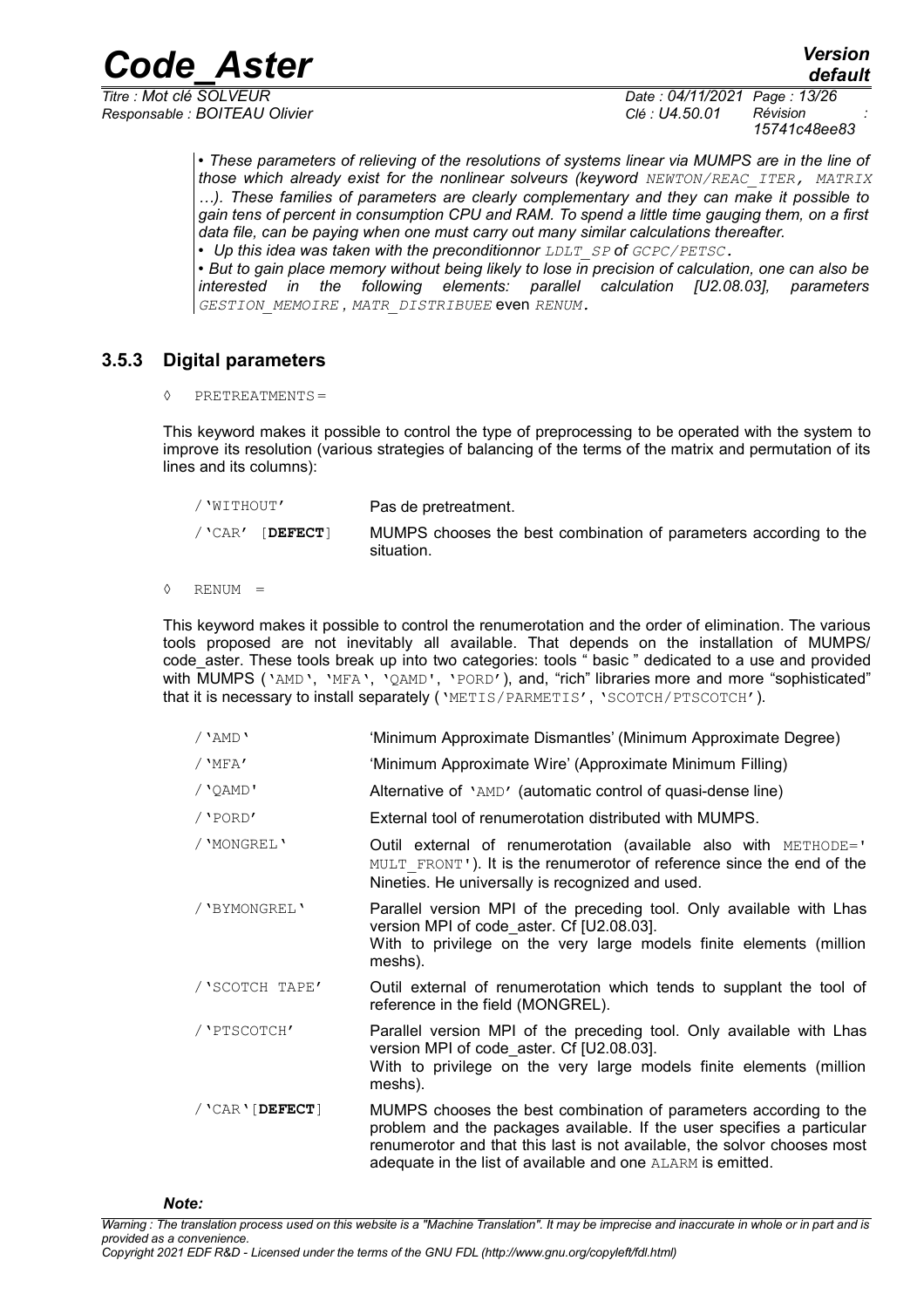*Responsable : BOITEAU Olivier Clé : U4.50.01 Révision :*

*default Titre : Mot clé SOLVEUR Date : 04/11/2021 Page : 13/26 15741c48ee83*

> • *These parameters of relieving of the resolutions of systems linear via MUMPS are in the line of those which already exist for the nonlinear solveurs (keyword NEWTON/REAC\_ITER, MATRIX …). These families of parameters are clearly complementary and they can make it possible to gain tens of percent in consumption CPU and RAM. To spend a little time gauging them, on a first data file, can be paying when one must carry out many similar calculations thereafter.*

• Up this idea was taken with the preconditionnor *LDLT SP* of *GCPC/PETSC*.

• *But to gain place memory without being likely to lose in precision of calculation, one can also be interested in the following elements: parallel calculation [U2.08.03], parameters GESTION\_MEMOIRE , MATR\_DISTRIBUEE* even *RENUM.*

#### **3.5.3 Digital parameters**

<span id="page-12-0"></span>◊ PRETREATMENTS=

This keyword makes it possible to control the type of preprocessing to be operated with the system to improve its resolution (various strategies of balancing of the terms of the matrix and permutation of its lines and its columns):

| / 'WITHOUT'        | Pas de pretreatment.                                                            |
|--------------------|---------------------------------------------------------------------------------|
| $/$ 'CAR' [DEFECT] | MUMPS chooses the best combination of parameters according to the<br>situation. |

◊ RENUM =

This keyword makes it possible to control the renumerotation and the order of elimination. The various tools proposed are not inevitably all available. That depends on the installation of MUMPS/ code\_aster. These tools break up into two categories: tools " basic " dedicated to a use and provided with MUMPS ('AMD', 'MFA', 'QAMD', 'PORD'), and, "rich" libraries more and more "sophisticated" that it is necessary to install separately ('METIS/PARMETIS', 'SCOTCH/PTSCOTCH').

- /'AMD' 'Minimum Approximate Dismantles' (Minimum Approximate Degree)
- /'MFA' 'Minimum Approximate Wire' (Approximate Minimum Filling)
- /'QAMD' Alternative of 'AMD' (automatic control of quasi-dense line)
- /'PORD' External tool of renumerotation distributed with MUMPS.
- /'MONGREL' Outil external of renumerotation (available also with METHODE=' MULT\_FRONT'). It is the renumerotor of reference since the end of the Nineties. He universally is recognized and used.
- /'BYMONGREL' Parallel version MPI of the preceding tool. Only available with Lhas version MPI of code aster. Cf [U2.08.03]. With to privilege on the very large models finite elements (million meshs).
- /'SCOTCH TAPE' Outil external of renumerotation which tends to supplant the tool of reference in the field (MONGREL).
- /'PTSCOTCH' Parallel version MPI of the preceding tool. Only available with Lhas version MPI of code\_aster. Cf [U2.08.03]. With to privilege on the very large models finite elements (million meshs).
- /'CAR'[**DEFECT**] MUMPS chooses the best combination of parameters according to the problem and the packages available. If the user specifies a particular renumerotor and that this last is not available, the solvor chooses most adequate in the list of available and one ALARM is emitted.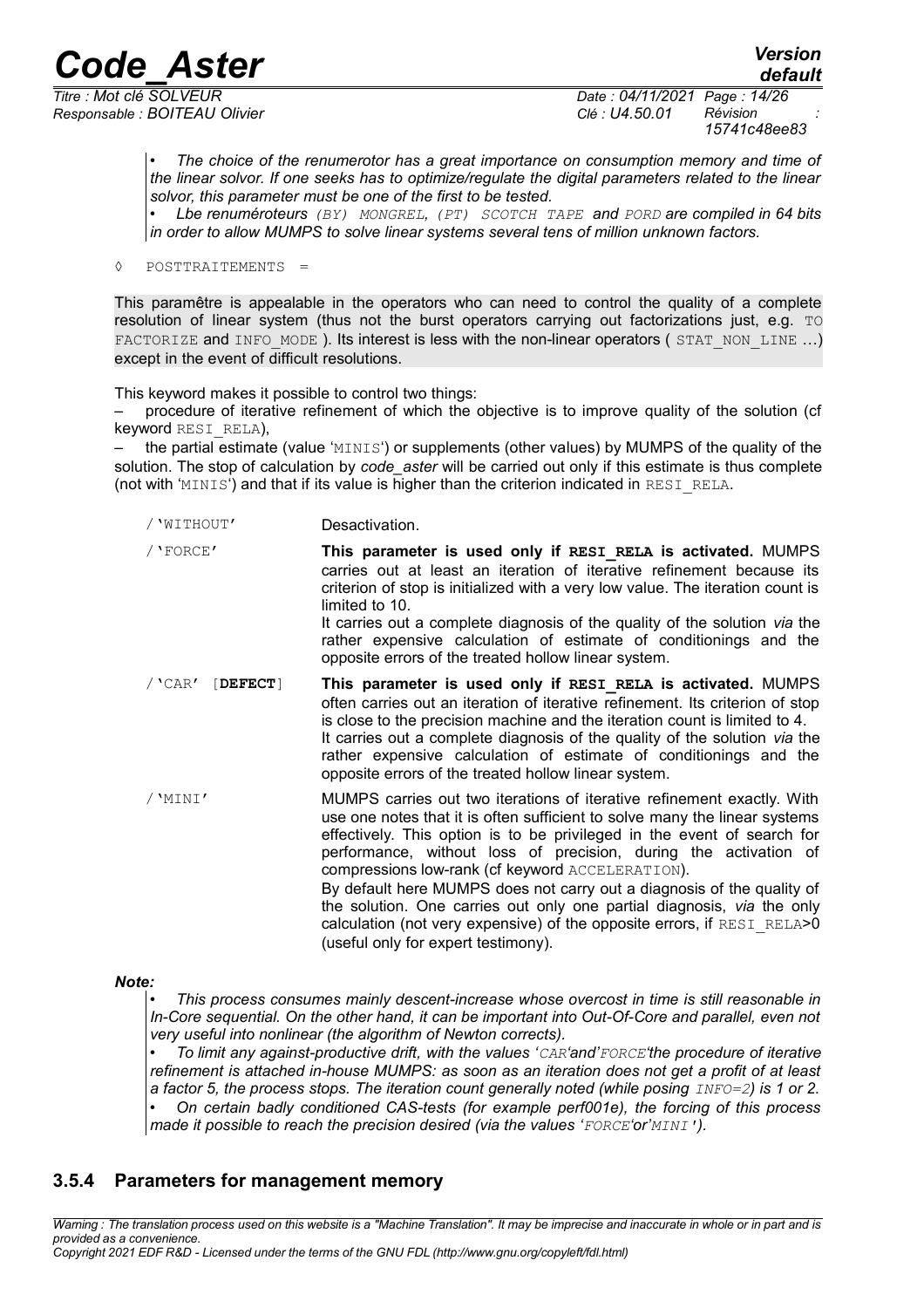*Responsable : BOITEAU Olivier Clé : U4.50.01 Révision :*

*Titre : Mot clé SOLVEUR Date : 04/11/2021 Page : 14/26 15741c48ee83*

> • *The choice of the renumerotor has a great importance on consumption memory and time of the linear solvor. If one seeks has to optimize/regulate the digital parameters related to the linear solvor, this parameter must be one of the first to be tested.*

> • *Lbe renuméroteurs (BY) MONGREL, (PT) SCOTCH TAPE and PORD are compiled in 64 bits in order to allow MUMPS to solve linear systems several tens of million unknown factors.*

◊ POSTTRAITEMENTS =

This paramêtre is appealable in the operators who can need to control the quality of a complete resolution of linear system (thus not the burst operators carrying out factorizations just, e.g. TO FACTORIZE and INFO\_MODE ). Its interest is less with the non-linear operators ( STAT\_NON\_LINE ...) except in the event of difficult resolutions.

This keyword makes it possible to control two things:

– procedure of iterative refinement of which the objective is to improve quality of the solution (cf keyword RESI\_RELA),

 $-$  the partial estimate (value 'MINIS') or supplements (other values) by MUMPS of the quality of the solution. The stop of calculation by *code\_aster* will be carried out only if this estimate is thus complete (not with 'MINIS') and that if its value is higher than the criterion indicated in RESI\_RELA.

| / 'WITHOUT'         | Desactivation.                                                                                                                                                                                                                                                                                                                                                                                                                                                                                                                                                                                                                |
|---------------------|-------------------------------------------------------------------------------------------------------------------------------------------------------------------------------------------------------------------------------------------------------------------------------------------------------------------------------------------------------------------------------------------------------------------------------------------------------------------------------------------------------------------------------------------------------------------------------------------------------------------------------|
| / 'FORCE'           | This parameter is used only if RESI RELA is activated. MUMPS<br>carries out at least an iteration of iterative refinement because its<br>criterion of stop is initialized with a very low value. The iteration count is<br>limited to 10.<br>It carries out a complete diagnosis of the quality of the solution via the<br>rather expensive calculation of estimate of conditionings and the<br>opposite errors of the treated hollow linear system.                                                                                                                                                                          |
| / 'CAR'<br>[DEFECT] | This parameter is used only if RESI RELA is activated. MUMPS<br>often carries out an iteration of iterative refinement. Its criterion of stop<br>is close to the precision machine and the iteration count is limited to 4.<br>It carries out a complete diagnosis of the quality of the solution via the<br>rather expensive calculation of estimate of conditionings and the<br>opposite errors of the treated hollow linear system.                                                                                                                                                                                        |
| / 'MINI'            | MUMPS carries out two iterations of iterative refinement exactly. With<br>use one notes that it is often sufficient to solve many the linear systems<br>effectively. This option is to be privileged in the event of search for<br>performance, without loss of precision, during the activation of<br>compressions low-rank (cf keyword ACCELERATION).<br>By default here MUMPS does not carry out a diagnosis of the quality of<br>the solution. One carries out only one partial diagnosis, via the only<br>calculation (not very expensive) of the opposite errors, if RESI RELA>0<br>(useful only for expert testimony). |

#### *Note:*

• *This process consumes mainly descent-increase whose overcost in time is still reasonable in In-Core sequential. On the other hand, it can be important into Out-Of-Core and parallel, even not very useful into nonlinear (the algorithm of Newton corrects).*

• *To limit any against-productive drift, with the values 'CAR'and'FORCE'the procedure of iterative refinement is attached in-house MUMPS: as soon as an iteration does not get a profit of at least a factor 5, the process stops. The iteration count generally noted (while posing*  $INFO=2$ *) is 1 or 2.* 

• *On certain badly conditioned CAS-tests (for example perf001e), the forcing of this process made it possible to reach the precision desired (via the values 'FORCE'or'MINI').*

### <span id="page-13-0"></span>**3.5.4 Parameters for management memory**

*Warning : The translation process used on this website is a "Machine Translation". It may be imprecise and inaccurate in whole or in part and is provided as a convenience.*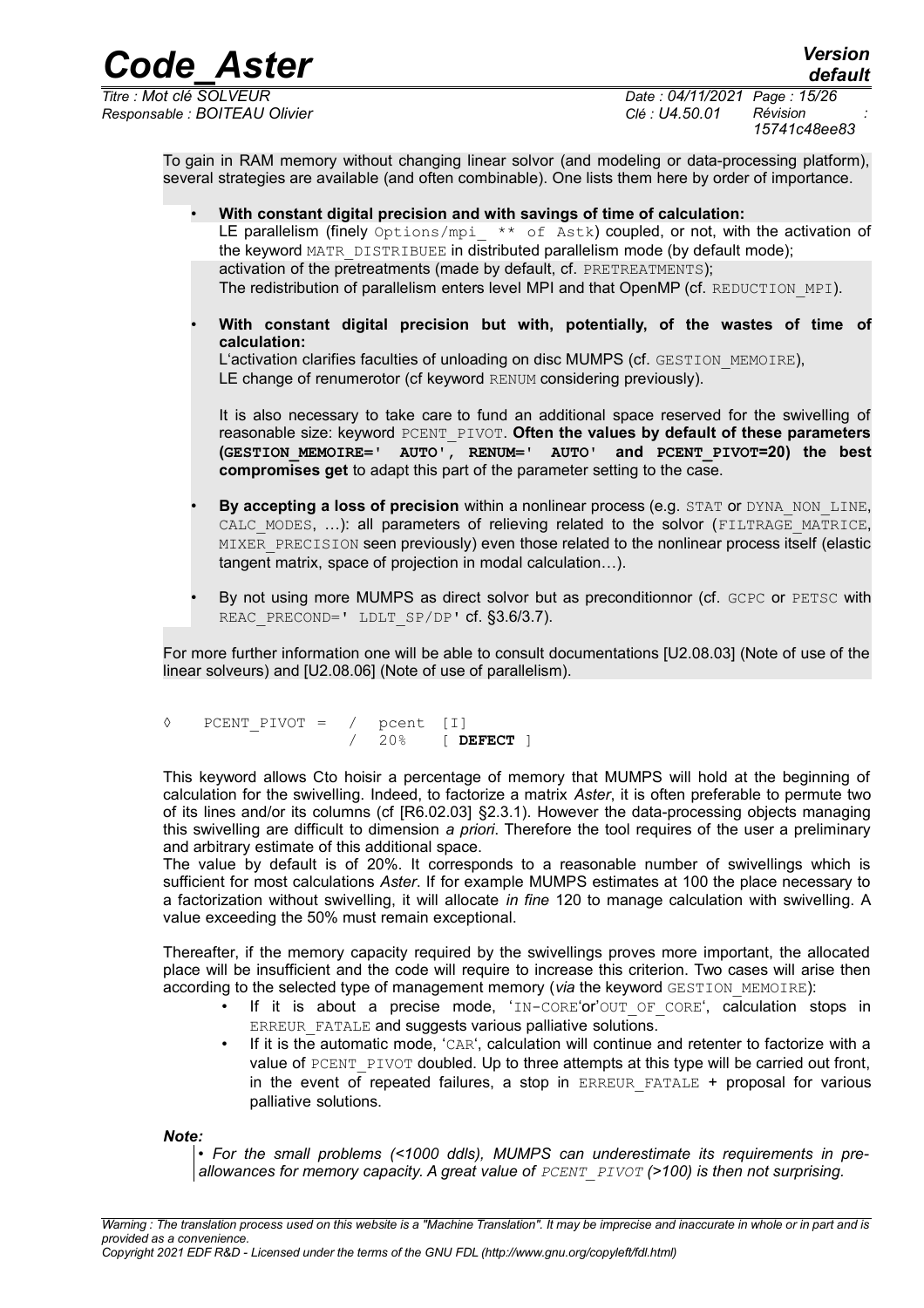*Code\_Aster Version Titre : Mot clé SOLVEUR Date : 04/11/2021 Page : 15/26 Responsable : BOITEAU Olivier Clé : U4.50.01 Révision :*

*default 15741c48ee83*

To gain in RAM memory without changing linear solvor (and modeling or data-processing platform), several strategies are available (and often combinable). One lists them here by order of importance.

- **With constant digital precision and with savings of time of calculation:** LE parallelism (finely  $Options/mpi$   $**$  of Astk) coupled, or not, with the activation of the keyword MATR\_DISTRIBUEE in distributed parallelism mode (by default mode); activation of the pretreatments (made by default, cf. PRETREATMENTS); The redistribution of parallelism enters level MPI and that OpenMP (cf. REDUCTION MPI).
- **With constant digital precision but with, potentially, of the wastes of time of calculation:**

L'activation clarifies faculties of unloading on disc MUMPS (cf. GESTION\_MEMOIRE), LE change of renumerotor (cf keyword RENUM considering previously).

It is also necessary to take care to fund an additional space reserved for the swivelling of reasonable size: keyword PCENT\_PIVOT. **Often the values by default of these parameters (GESTION\_MEMOIRE=' AUTO', RENUM=' AUTO' and PCENT\_PIVOT=20) the best compromises get** to adapt this part of the parameter setting to the case.

- **By accepting a loss of precision within a nonlinear process (e.g. STAT or DYNA\_NON\_LINE,** CALC MODES, ...): all parameters of relieving related to the solvor (FILTRAGE MATRICE, MIXER\_PRECISION seen previously) even those related to the nonlinear process itself (elastic tangent matrix, space of projection in modal calculation…).
- By not using more MUMPS as direct solvor but as preconditionnor (cf. GCPC or PETSC with REAC PRECOND=' LDLT SP/DP' cf. §3.6/3.7).

For more further information one will be able to consult documentations [U2.08.03] (Note of use of the linear solveurs) and [U2.08.06] (Note of use of parallelism).

◊ PCENT\_PIVOT = / pcent [I] / 20% [ **DEFECT** ]

This keyword allows Cto hoisir a percentage of memory that MUMPS will hold at the beginning of calculation for the swivelling. Indeed, to factorize a matrix *Aster*, it is often preferable to permute two of its lines and/or its columns (cf [R6.02.03] §2.3.1). However the data-processing objects managing this swivelling are difficult to dimension *a priori*. Therefore the tool requires of the user a preliminary and arbitrary estimate of this additional space.

The value by default is of 20%. It corresponds to a reasonable number of swivellings which is sufficient for most calculations *Aster*. If for example MUMPS estimates at 100 the place necessary to a factorization without swivelling, it will allocate *in fine* 120 to manage calculation with swivelling. A value exceeding the 50% must remain exceptional.

Thereafter, if the memory capacity required by the swivellings proves more important, the allocated place will be insufficient and the code will require to increase this criterion. Two cases will arise then according to the selected type of management memory (*via* the keyword GESTION MEMOIRE):

- If it is about a precise mode,  $'IN-CORE'$  or  $'OUT$   $OF$  corest, calculation stops in ERREUR FATALE and suggests various palliative solutions.
- If it is the automatic mode, 'CAR', calculation will continue and retenter to factorize with a value of PCENT PIVOT doubled. Up to three attempts at this type will be carried out front, in the event of repeated failures, a stop in ERREUR FATALE + proposal for various palliative solutions.

*Note:*

• *For the small problems (<1000 ddls), MUMPS can underestimate its requirements in preallowances for memory capacity. A great value of PCENT\_PIVOT (>100) is then not surprising.*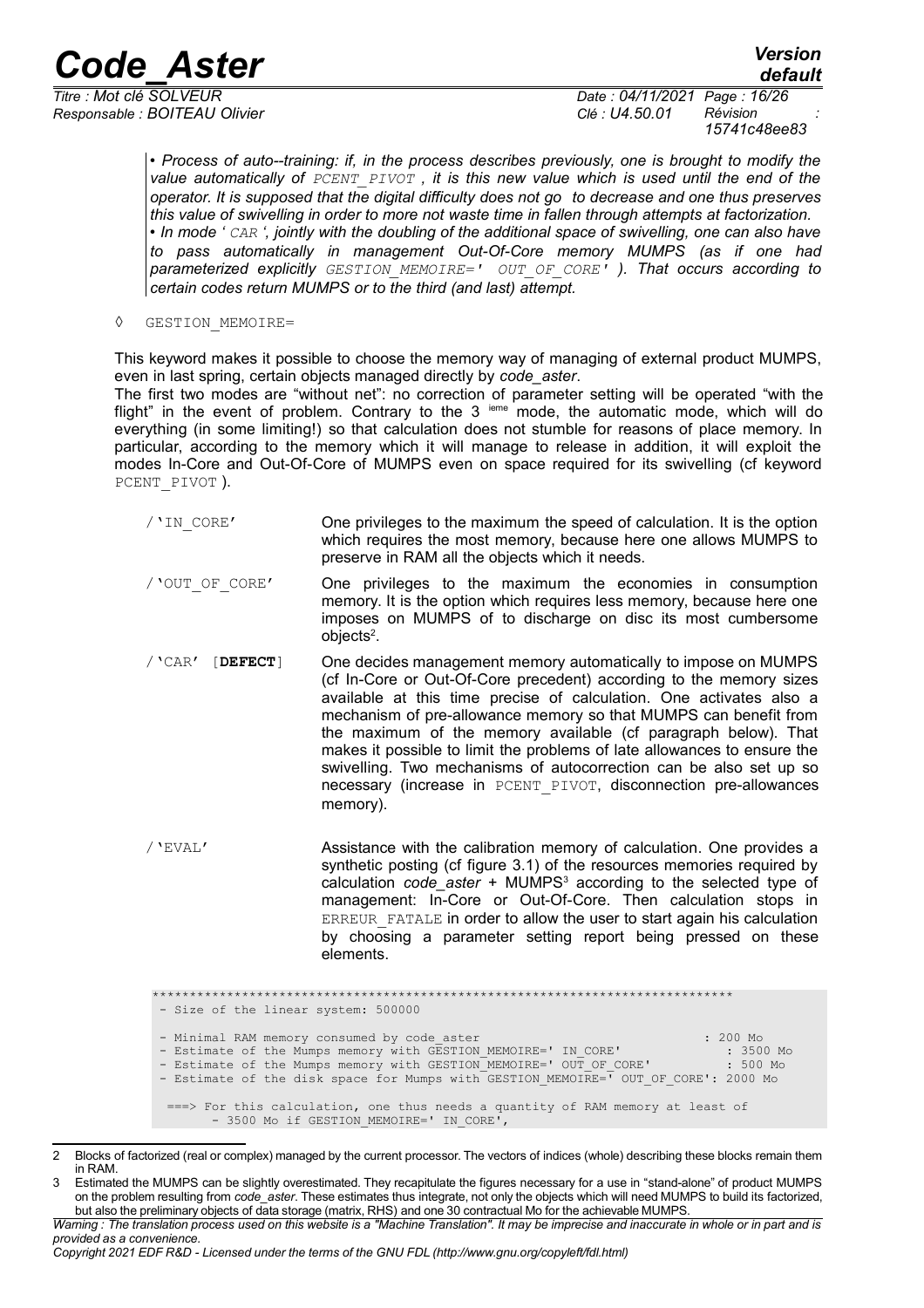*Responsable : BOITEAU Olivier Clé : U4.50.01 Révision :*

*default*

*Titre : Mot clé SOLVEUR Date : 04/11/2021 Page : 16/26 15741c48ee83*

> • *Process of auto--training: if, in the process describes previously, one is brought to modify the value automatically of PCENT\_PIVOT , it is this new value which is used until the end of the operator. It is supposed that the digital difficulty does not go to decrease and one thus preserves this value of swivelling in order to more not waste time in fallen through attempts at factorization.* • *In mode ' CAR ', jointly with the doubling of the additional space of swivelling, one can also have to pass automatically in management Out-Of-Core memory MUMPS (as if one had parameterized explicitly GESTION\_MEMOIRE=' OUT\_OF\_CORE' ). That occurs according to certain codes return MUMPS or to the third (and last) attempt.*

◊ GESTION\_MEMOIRE=

This keyword makes it possible to choose the memory way of managing of external product MUMPS, even in last spring, certain objects managed directly by *code\_aster*.

The first two modes are "without net": no correction of parameter setting will be operated "with the flight" in the event of problem. Contrary to the  $3$  ieme mode, the automatic mode, which will do everything (in some limiting!) so that calculation does not stumble for reasons of place memory. In particular, according to the memory which it will manage to release in addition, it will exploit the modes In-Core and Out-Of-Core of MUMPS even on space required for its swivelling (cf keyword PCENT\_PIVOT ).

- /'IN\_CORE' One privileges to the maximum the speed of calculation. It is the option which requires the most memory, because here one allows MUMPS to preserve in RAM all the objects which it needs.
- /'OUT\_OF\_CORE' One privileges to the maximum the economies in consumption memory. It is the option which requires less memory, because here one imposes on MUMPS of to discharge on disc its most cumbersome objects $2$ .
- /'CAR' [**DEFECT**] One decides management memory automatically to impose on MUMPS (cf In-Core or Out-Of-Core precedent) according to the memory sizes available at this time precise of calculation. One activates also a mechanism of pre-allowance memory so that MUMPS can benefit from the maximum of the memory available (cf paragraph below). That makes it possible to limit the problems of late allowances to ensure the swivelling. Two mechanisms of autocorrection can be also set up so necessary (increase in PCENT\_PIVOT, disconnection pre-allowances memory).
- /'EVAL' Assistance with the calibration memory of calculation. One provides a synthetic posting (cf figure 3.1) of the resources memories required by calculation *code\_aster* + MUMPS<sup>[3](#page-15-1)</sup> according to the selected type of management: In-Core or Out-Of-Core. Then calculation stops in ERREUR FATALE in order to allow the user to start again his calculation by choosing a parameter setting report being pressed on these elements.

\*\*\*\*\*\*\*\*\*\*\*\*\*\*\*\*\*\*\*\*\*\*\*\*\*\*\*\*\*\*\*\*\*\*\*\*\*\*\*\*\*\*\*\*\*\*\*\*\*\*\*\*\*\*\*\*\*\*\*\*\*\*\*\*\*\*\*\*\*\*\*\*\*\*\*\*\*\* - Size of the linear system: 500000 - Minimal RAM memory consumed by code\_aster (1999) 1999 (1999) 1999 (1999) 1999 (1999) 1999 (1999) 1999 (1999)<br>
- Estimate of the Mumps memory with GESTION MEMOIRE=' IN CORE' (1999) 1999) 1999 (1999) 1999 - Estimate of the Mumps memory with GESTION\_MEMOIRE=' IN\_CORE' : 3500 Mo<br>- Estimate of the Mumps memory with GESTION\_MEMOIRE=' OUT OF CORE' : 3500 Mo - Estimate of the Mumps memory with GESTION\_MEMOIRE=' OUT\_OF\_CORE' : 500 Mo - Estimate of the disk space for Mumps with GESTION MEMOIRE=' OUT OF CORE': 2000 Mo ===> For this calculation, one thus needs a quantity of RAM memory at least of - 3500 Mo if GESTION MEMOIRE=' IN CORE',

<span id="page-15-0"></span><sup>2</sup> Blocks of factorized (real or complex) managed by the current processor. The vectors of indices (whole) describing these blocks remain them in RAM.

<span id="page-15-1"></span><sup>3</sup> Estimated the MUMPS can be slightly overestimated. They recapitulate the figures necessary for a use in "stand-alone" of product MUMPS on the problem resulting from *code\_aster*. These estimates thus integrate, not only the objects which will need MUMPS to build its factorized, but also the preliminary objects of data storage (matrix, RHS) and one 30 contractual Mo for the achievable MUMPS.

*Warning : The translation process used on this website is a "Machine Translation". It may be imprecise and inaccurate in whole or in part and is provided as a convenience.*

*Copyright 2021 EDF R&D - Licensed under the terms of the GNU FDL (http://www.gnu.org/copyleft/fdl.html)*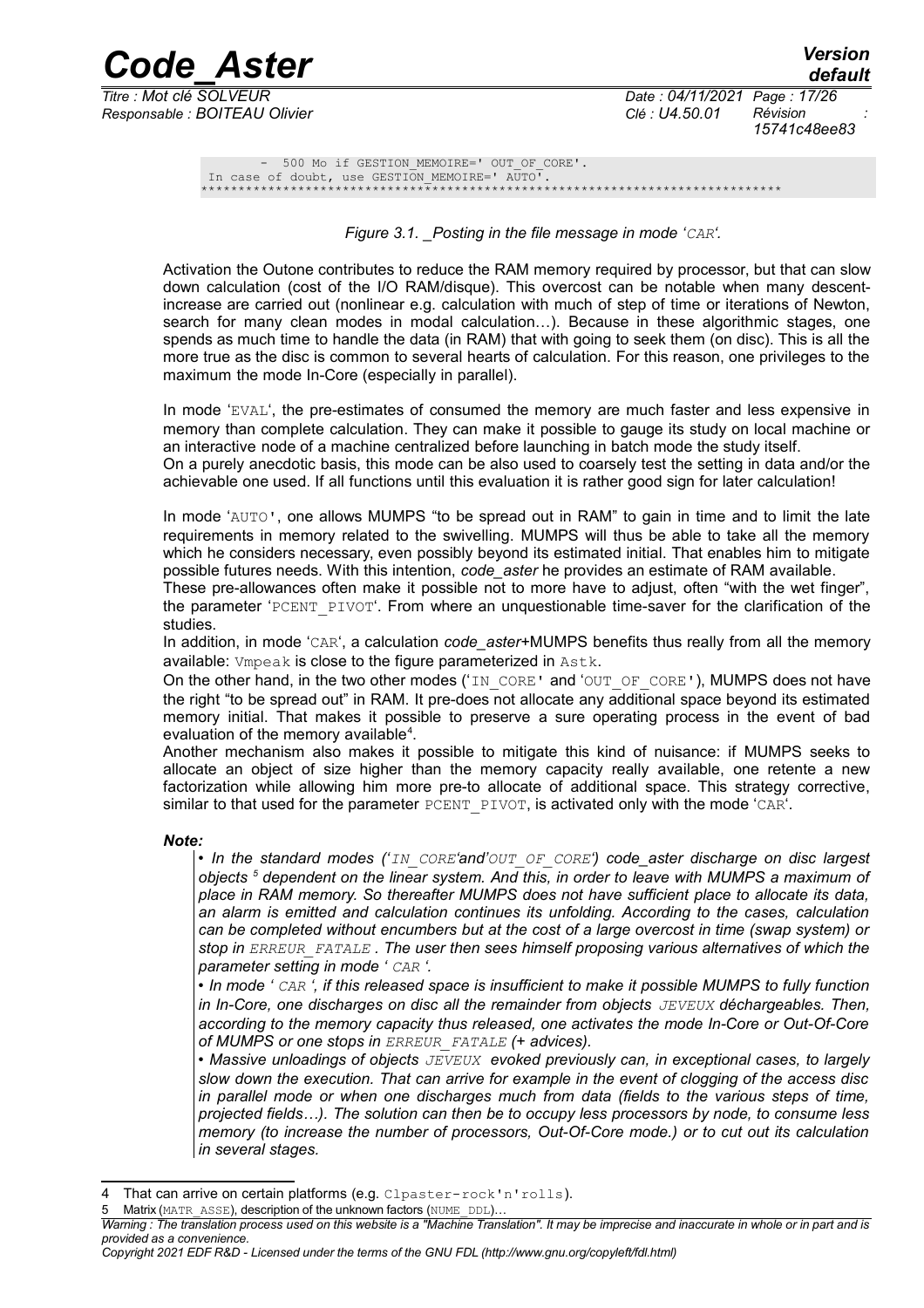*Code\_Aster Version Responsable : BOITEAU Olivier Clé : U4.50.01 Révision :*

*Titre : Mot clé SOLVEUR Date : 04/11/2021 Page : 17/26 15741c48ee83*

- 500 Mo if GESTION MEMOIRE=' OUT OF CORE'. In case of doubt, use GESTION\_MEMOIRE=' AUTO<sup>T</sup>. \*\*\*\*\*\*\*\*\*\*\*\*\*\*\*\*\*\*\*\*\*\*\*\*\*\*\*\*\*\*\*\*\*\*\*\*\*\*\*\*\*\*\*\*\*\*\*\*\*\*\*\*\*\*\*\*\*\*\*\*\*\*\*\*\*\*\*\*\*\*\*\*\*\*\*\*\*\*

*Figure 3.1. \_Posting in the file message in mode 'CAR'.*

Activation the Outone contributes to reduce the RAM memory required by processor, but that can slow down calculation (cost of the I/O RAM/disque). This overcost can be notable when many descentincrease are carried out (nonlinear e.g. calculation with much of step of time or iterations of Newton, search for many clean modes in modal calculation…). Because in these algorithmic stages, one spends as much time to handle the data (in RAM) that with going to seek them (on disc). This is all the more true as the disc is common to several hearts of calculation. For this reason, one privileges to the maximum the mode In-Core (especially in parallel).

In mode 'EVAL', the pre-estimates of consumed the memory are much faster and less expensive in memory than complete calculation. They can make it possible to gauge its study on local machine or an interactive node of a machine centralized before launching in batch mode the study itself. On a purely anecdotic basis, this mode can be also used to coarsely test the setting in data and/or the achievable one used. If all functions until this evaluation it is rather good sign for later calculation!

In mode 'AUTO', one allows MUMPS "to be spread out in RAM" to gain in time and to limit the late requirements in memory related to the swivelling. MUMPS will thus be able to take all the memory which he considers necessary, even possibly beyond its estimated initial. That enables him to mitigate possible futures needs. With this intention, *code\_aster* he provides an estimate of RAM available.

These pre-allowances often make it possible not to more have to adjust, often "with the wet finger", the parameter 'PCENT\_PIVOT'. From where an unquestionable time-saver for the clarification of the studies.

In addition, in mode 'CAR', a calculation *code* aster+MUMPS benefits thus really from all the memory available: Vmpeak is close to the figure parameterized in Astk.

On the other hand, in the two other modes ('IN CORE' and 'OUT\_OF\_CORE'), MUMPS does not have the right "to be spread out" in RAM. It pre-does not allocate any additional space beyond its estimated memory initial. That makes it possible to preserve a sure operating process in the event of bad evaluation of the memory available<sup>[4](#page-16-0)</sup>.

Another mechanism also makes it possible to mitigate this kind of nuisance: if MUMPS seeks to allocate an object of size higher than the memory capacity really available, one retente a new factorization while allowing him more pre-to allocate of additional space. This strategy corrective, similar to that used for the parameter PCENT\_PIVOT, is activated only with the mode 'CAR'.

*Note:*

• *In the standard modes ('IN\_CORE'and'OUT\_OF\_CORE') code\_aster discharge on disc largest objects [5](#page-16-1) dependent on the linear system. And this, in order to leave with MUMPS a maximum of place in RAM memory. So thereafter MUMPS does not have sufficient place to allocate its data, an alarm is emitted and calculation continues its unfolding. According to the cases, calculation can be completed without encumbers but at the cost of a large overcost in time (swap system) or stop in ERREUR\_FATALE . The user then sees himself proposing various alternatives of which the parameter setting in mode ' CAR '.*

• *In mode ' CAR ', if this released space is insufficient to make it possible MUMPS to fully function in In-Core, one discharges on disc all the remainder from objects*  $JEVEUX$  *déchargeables. Then, according to the memory capacity thus released, one activates the mode In-Core or Out-Of-Core of MUMPS or one stops in ERREUR\_FATALE (+ advices).*

• *Massive unloadings of objects JEVEUX evoked previously can, in exceptional cases, to largely slow down the execution. That can arrive for example in the event of clogging of the access disc in parallel mode or when one discharges much from data (fields to the various steps of time, projected fields…). The solution can then be to occupy less processors by node, to consume less memory (to increase the number of processors, Out-Of-Core mode.) or to cut out its calculation in several stages.*

*Copyright 2021 EDF R&D - Licensed under the terms of the GNU FDL (http://www.gnu.org/copyleft/fdl.html)*

<span id="page-16-0"></span>That can arrive on certain platforms (e.g. Clpaster-rock'n'rolls).

<span id="page-16-1"></span>Matrix (MATR\_ASSE), description of the unknown factors (NUME\_DDL)...

*Warning : The translation process used on this website is a "Machine Translation". It may be imprecise and inaccurate in whole or in part and is provided as a convenience.*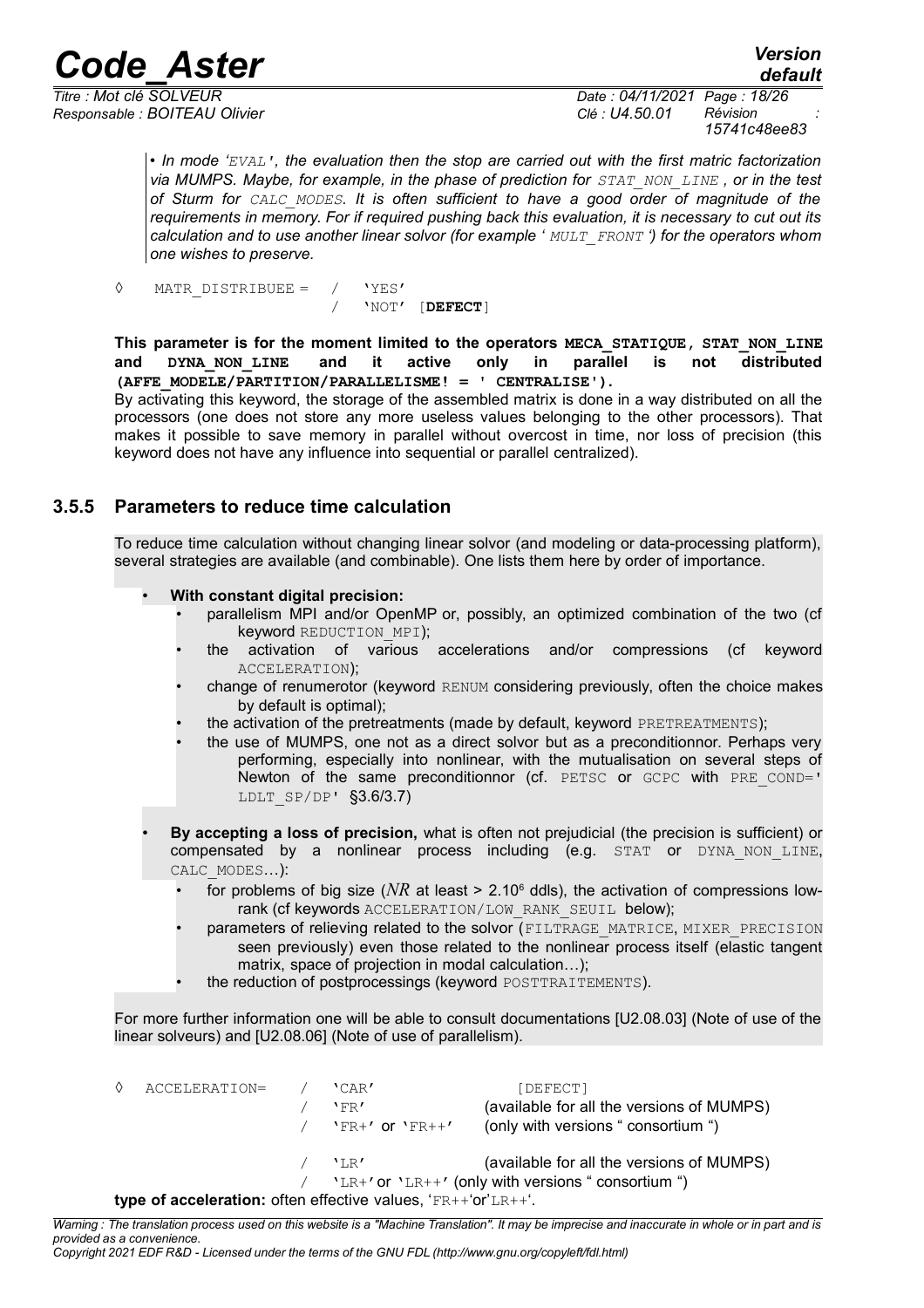*Responsable : BOITEAU Olivier Clé : U4.50.01 Révision :*

*Titre : Mot clé SOLVEUR Date : 04/11/2021 Page : 18/26 15741c48ee83*

*default*

• *In mode 'EVAL', the evaluation then the stop are carried out with the first matric factorization via MUMPS. Maybe, for example, in the phase of prediction for STAT\_NON\_LINE , or in the test of Sturm for CALC\_MODES. It is often sufficient to have a good order of magnitude of the requirements in memory. For if required pushing back this evaluation, it is necessary to cut out its calculation and to use another linear solvor (for example ' MULT\_FRONT ') for the operators whom one wishes to preserve.*

*◊* MATR\_DISTRIBUEE = / 'YES' / 'NOT' [**DEFECT**]

**This parameter is for the moment limited to the operators MECA\_STATIQUE, STAT\_NON\_LINE and DYNA\_NON\_LINE and it active only in parallel is not distributed (AFFE\_MODELE/PARTITION/PARALLELISME! = ' CENTRALISE').**

By activating this keyword, the storage of the assembled matrix is done in a way distributed on all the processors (one does not store any more useless values belonging to the other processors). That makes it possible to save memory in parallel without overcost in time, nor loss of precision (this keyword does not have any influence into sequential or parallel centralized).

#### **3.5.5 Parameters to reduce time calculation**

<span id="page-17-0"></span>To reduce time calculation without changing linear solvor (and modeling or data-processing platform), several strategies are available (and combinable). One lists them here by order of importance.

- **With constant digital precision:**
	- parallelism MPI and/or OpenMP or, possibly, an optimized combination of the two (cf keyword REDUCTION\_MPI);
	- the activation of various accelerations and/or compressions (cf keyword ACCELERATION);
	- change of renumerotor (keyword RENUM considering previously, often the choice makes by default is optimal);
	- the activation of the pretreatments (made by default, keyword PRETREATMENTS);
	- the use of MUMPS, one not as a direct solvor but as a preconditionnor. Perhaps very performing, especially into nonlinear, with the mutualisation on several steps of Newton of the same preconditionnor (cf. PETSC or GCPC with PRE\_COND=' LDLT\_SP/DP' §3.6/3.7)
- **By accepting a loss of precision,** what is often not prejudicial (the precision is sufficient) or compensated by a nonlinear process including (e.g. STAT or DYNA NON LINE, CALC\_MODES…):
	- for problems of big size ( $NR$  at least > 2.10 $^{\circ}$  ddls), the activation of compressions lowrank (cf keywords ACCELERATION/LOW\_RANK\_SEUIL below);
	- parameters of relieving related to the solvor (FILTRAGE\_MATRICE, MIXER\_PRECISION seen previously) even those related to the nonlinear process itself (elastic tangent matrix, space of projection in modal calculation…);
	- the reduction of postprocessings (keyword POSTTRAITEMENTS).

For more further information one will be able to consult documentations [U2.08.03] (Note of use of the linear solveurs) and [U2.08.06] (Note of use of parallelism).

◊ ACCELERATION= / 'CAR' [DEFECT] / 'FR' (available for all the versions of MUMPS)  $/$  'FR+' or 'FR++' (only with versions " consortium ") 'LR' (available for all the versions of MUMPS) 'LR+' or 'LR++' (only with versions " consortium ") **type of acceleration:** often effective values, 'FR++'or'LR++'.

*Warning : The translation process used on this website is a "Machine Translation". It may be imprecise and inaccurate in whole or in part and is provided as a convenience.*

*Copyright 2021 EDF R&D - Licensed under the terms of the GNU FDL (http://www.gnu.org/copyleft/fdl.html)*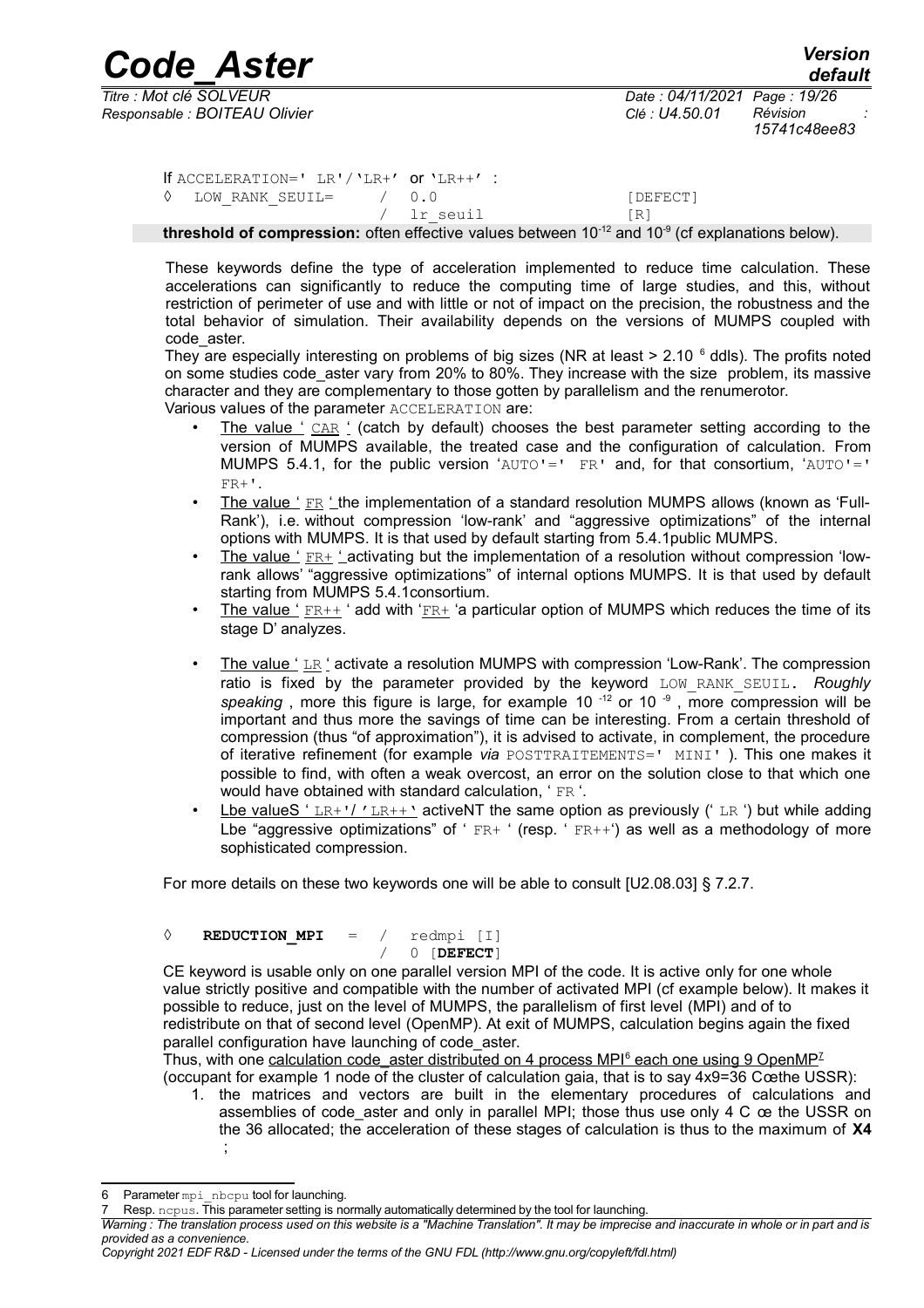*Responsable : BOITEAU Olivier Clé : U4.50.01 Révision :*

*default Titre : Mot clé SOLVEUR Date : 04/11/2021 Page : 19/26 15741c48ee83*

If ACCELERATION=' LR'/'LR+' or 'LR++' : ◊ LOW\_RANK\_SEUIL= / 0.0 [DEFECT] / lr seuil [R]

**threshold of compression:** often effective values between 10-12 and 10-9 (cf explanations below).

These keywords define the type of acceleration implemented to reduce time calculation. These accelerations can significantly to reduce the computing time of large studies, and this, without restriction of perimeter of use and with little or not of impact on the precision, the robustness and the total behavior of simulation. Their availability depends on the versions of MUMPS coupled with code\_aster.

They are especially interesting on problems of big sizes (NR at least  $> 2.10$   $\degree$  ddls). The profits noted on some studies code aster vary from 20% to 80%. They increase with the size problem, its massive character and they are complementary to those gotten by parallelism and the renumerotor. Various values of the parameter ACCELERATION are:

- The value ' CAR ' (catch by default) chooses the best parameter setting according to the version of MUMPS available, the treated case and the configuration of calculation. From MUMPS 5.4.1, for the public version 'AUTO'=' FR' and, for that consortium, 'AUTO'='  $FR +$ '.
- The value ' FR ' the implementation of a standard resolution MUMPS allows (known as 'Full-Rank'), i.e. without compression 'low-rank' and "aggressive optimizations" of the internal options with MUMPS. It is that used by default starting from 5.4.1public MUMPS.
- The value ' FR+ ' activating but the implementation of a resolution without compression 'lowrank allows' "aggressive optimizations" of internal options MUMPS. It is that used by default starting from MUMPS 5.4.1consortium.
- The value '  $ER++$  ' add with ' $ER+$  'a particular option of MUMPS which reduces the time of its stage D' analyzes.
- The value ' LR ' activate a resolution MUMPS with compression 'Low-Rank'. The compression ratio is fixed by the parameter provided by the keyword LOW\_RANK\_SEUIL. *Roughly speaking*, more this figure is large, for example 10<sup>-12</sup> or 10<sup>-9</sup>, more compression will be important and thus more the savings of time can be interesting. From a certain threshold of compression (thus "of approximation"), it is advised to activate, in complement, the procedure of iterative refinement (for example *via* POSTTRAITEMENTS=' MINI' ). This one makes it possible to find, with often a weak overcost, an error on the solution close to that which one would have obtained with standard calculation, ' FR '.
- Lbe valueS 'LR+'/'LR++' activeNT the same option as previously ('LR ') but while adding Lbe "aggressive optimizations" of ' $FR+$  ' (resp. ' $FR++$ ') as well as a methodology of more sophisticated compression.

For more details on these two keywords one will be able to consult [U2.08.03] § 7.2.7.

$$
\begin{array}{cccc}\n\Diamond & \text{REDUCTION} & \text{MPI} & = & / & \text{redmpi} & [1] \\
\Diamond & \text{J} & \text{J} & \text{J} & \text{J} & \text{J} \\
\end{array}
$$

CE keyword is usable only on one parallel version MPI of the code. It is active only for one whole value strictly positive and compatible with the number of activated MPI (cf example below). It makes it possible to reduce, just on the level of MUMPS, the parallelism of first level (MPI) and of to redistribute on that of second level (OpenMP). At exit of MUMPS, calculation begins again the fixed parallel configuration have launching of code\_aster.

Thus,with one calculation code aster distributed on 4 process MPI<sup>6</sup> each one using 9 OpenMP<sup>[7](#page-18-1)</sup> (occupant for example 1 node of the cluster of calculation gaia, that is to say 4x9=36 Cœthe USSR):

1. the matrices and vectors are built in the elementary procedures of calculations and assemblies of code\_aster and only in parallel MPI; those thus use only 4 C œ the USSR on the 36 allocated; the acceleration of these stages of calculation is thus to the maximum of **X4** ;

<span id="page-18-0"></span><sup>6</sup> Parameter mpi\_nbcpu tool for launching.

<span id="page-18-1"></span>Resp. ncpus. This parameter setting is normally automatically determined by the tool for launching.

*Warning : The translation process used on this website is a "Machine Translation". It may be imprecise and inaccurate in whole or in part and is provided as a convenience.*

*Copyright 2021 EDF R&D - Licensed under the terms of the GNU FDL (http://www.gnu.org/copyleft/fdl.html)*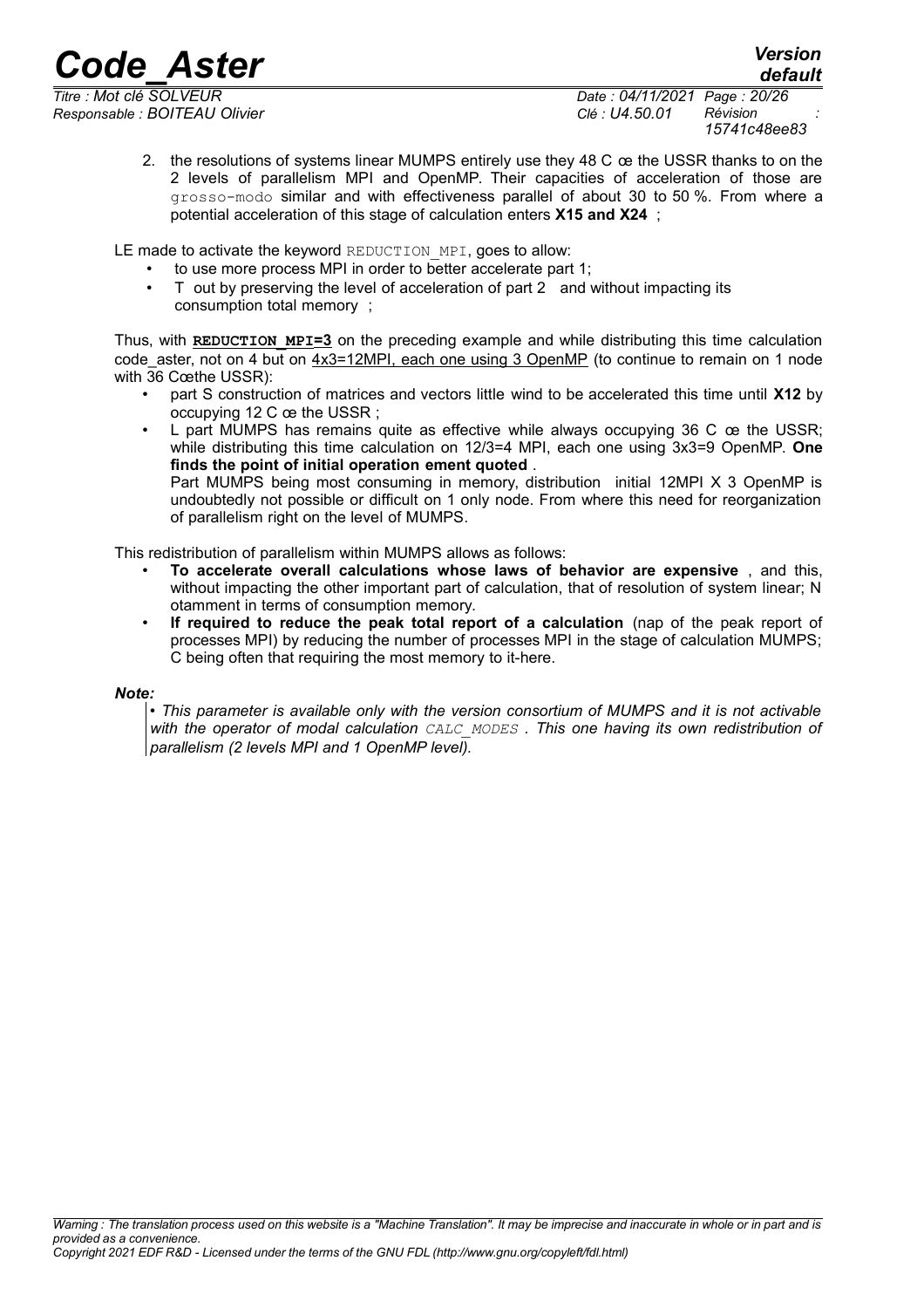*default*

*Responsable : BOITEAU Olivier Clé : U4.50.01 Révision :*

*Titre : Mot clé SOLVEUR Date : 04/11/2021 Page : 20/26 15741c48ee83*

> 2. the resolutions of systems linear MUMPS entirely use they 48 C œ the USSR thanks to on the 2 levels of parallelism MPI and OpenMP. Their capacities of acceleration of those are grosso-modo similar and with effectiveness parallel of about 30 to 50 %. From where a potential acceleration of this stage of calculation enters **X15 and X24** ;

LE made to activate the keyword REDUCTION MPI, goes to allow:

- to use more process MPI in order to better accelerate part 1;
- T out by preserving the level of acceleration of part 2 and without impacting its consumption total memory ;

Thus, with **REDUCTION\_MPI=3** on the preceding example and while distributing this time calculation code aster, not on 4 but on  $4x3=12MPI$ , each one using 3 OpenMP (to continue to remain on 1 node with 36 Cœthe USSR):

- part S construction of matrices and vectors little wind to be accelerated this time until **X12** by occupying 12 C œ the USSR ;
- L part MUMPS has remains quite as effective while always occupying 36 C oe the USSR; while distributing this time calculation on 12/3=4 MPI, each one using 3x3=9 OpenMP. **One finds the point of initial operation ement quoted** .

Part MUMPS being most consuming in memory, distribution initial 12MPI X 3 OpenMP is undoubtedly not possible or difficult on 1 only node. From where this need for reorganization of parallelism right on the level of MUMPS.

This redistribution of parallelism within MUMPS allows as follows:

- **To accelerate overall calculations whose laws of behavior are expensive** , and this, without impacting the other important part of calculation, that of resolution of system linear; N otamment in terms of consumption memory.
- **If required to reduce the peak total report of a calculation** (nap of the peak report of processes MPI) by reducing the number of processes MPI in the stage of calculation MUMPS; C being often that requiring the most memory to it-here.

#### *Note:*

• *This parameter is available only with the version consortium of MUMPS and it is not activable with the operator of modal calculation CALC\_MODES . This one having its own redistribution of parallelism (2 levels MPI and 1 OpenMP level).*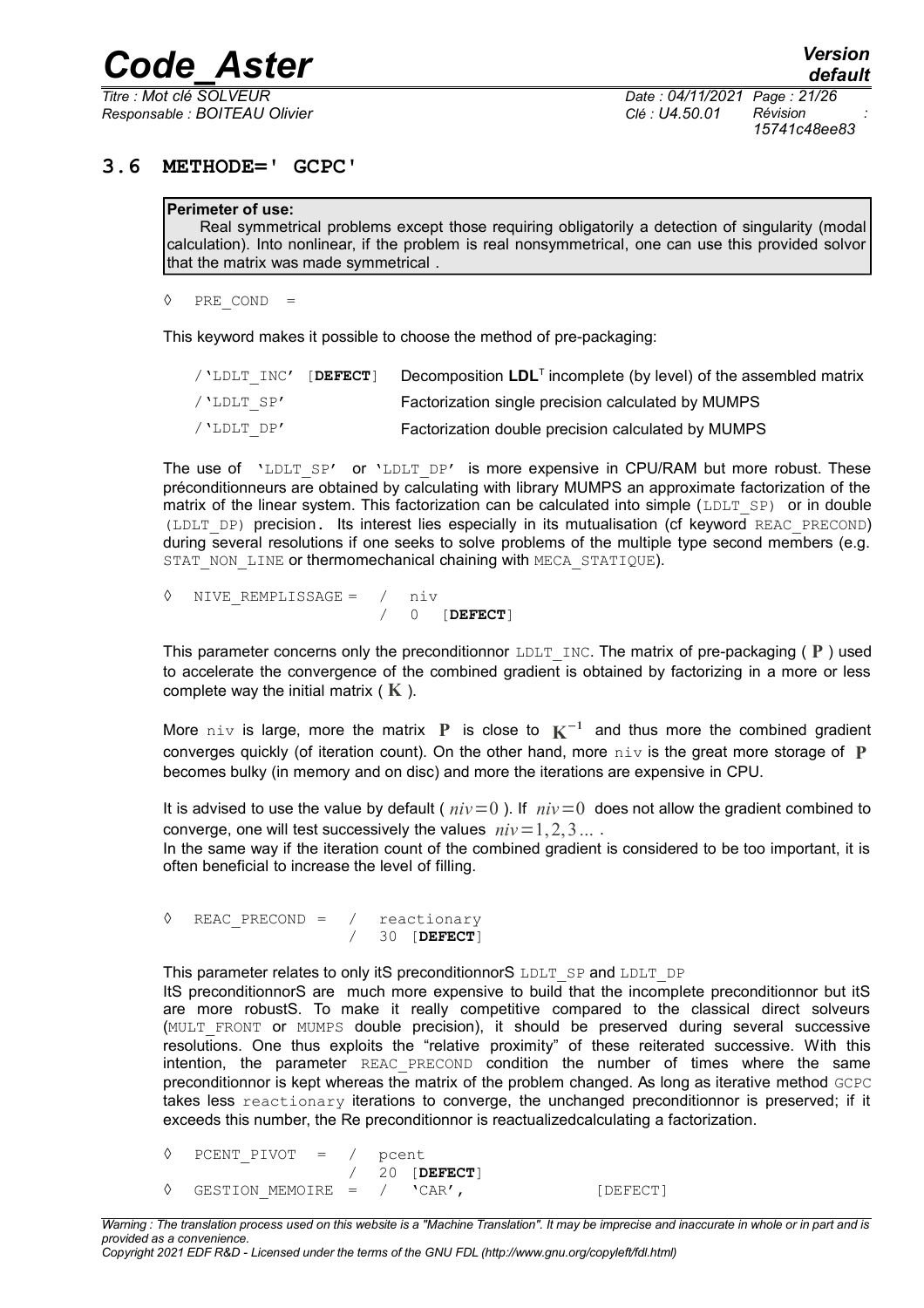*Responsable : BOITEAU Olivier Clé : U4.50.01 Révision :*

*Titre : Mot clé SOLVEUR Date : 04/11/2021 Page : 21/26 15741c48ee83*

#### **3.6 METHODE=' GCPC'**

#### <span id="page-20-0"></span>**Perimeter of use:**

Real symmetrical problems except those requiring obligatorily a detection of singularity (modal calculation). Into nonlinear, if the problem is real nonsymmetrical, one can use this provided solvor that the matrix was made symmetrical .

◊ PRE\_COND =

This keyword makes it possible to choose the method of pre-packaging:

| / 'LDLT INC' [DEFECT] | Decomposition $LDLT$ incomplete (by level) of the assembled matrix |
|-----------------------|--------------------------------------------------------------------|
| /'LDLT SP'            | Factorization single precision calculated by MUMPS                 |
| /'LDLT DP'            | Factorization double precision calculated by MUMPS                 |

The use of  $'LDLT$   $SP'$  or  $'LDLT$   $DP'$  is more expensive in CPU/RAM but more robust. These préconditionneurs are obtained by calculating with library MUMPS an approximate factorization of the matrix of the linear system. This factorization can be calculated into simple  $(LDLTSP)$  or in double (LDLT\_DP) precision. Its interest lies especially in its mutualisation (cf keyword REAC\_PRECOND) during several resolutions if one seeks to solve problems of the multiple type second members (e.g. STAT NON LINE or thermomechanical chaining with MECA STATIQUE).

| ↑ NIVE REMPLISSAGE = / niv |  |                |
|----------------------------|--|----------------|
|                            |  | $/$ 0 [DEFECT] |

This parameter concerns only the preconditionnor  $LDLT$  INC. The matrix of pre-packaging ( $P$ ) used to accelerate the convergence of the combined gradient is obtained by factorizing in a more or less complete way the initial matrix ( **K** ).

More niv is large, more the matrix **P** is close to **K** −**1** and thus more the combined gradient converges quickly (of iteration count). On the other hand, more niv is the great more storage of **P** becomes bulky (in memory and on disc) and more the iterations are expensive in CPU.

It is advised to use the value by default ( $niv=0$ ). If  $niv=0$  does not allow the gradient combined to converge, one will test successively the values  $niv=1,2,3...$ .

In the same way if the iteration count of the combined gradient is considered to be too important, it is often beneficial to increase the level of filling.

◊ REAC\_PRECOND = / reactionary / 30 [**DEFECT**]

This parameter relates to only itS preconditionnorS LDLT\_SP and LDLT\_DP

ItS preconditionnorS are much more expensive to build that the incomplete preconditionnor but itS are more robustS. To make it really competitive compared to the classical direct solveurs (MULT FRONT or MUMPS double precision), it should be preserved during several successive resolutions. One thus exploits the "relative proximity" of these reiterated successive. With this intention, the parameter REAC\_PRECOND condition the number of times where the same preconditionnor is kept whereas the matrix of the problem changed. As long as iterative method GCPC takes less reactionary iterations to converge, the unchanged preconditionnor is preserved; if it exceeds this number, the Re preconditionnor is reactualizedcalculating a factorization.

◊ PCENT\_PIVOT = / pcent

/ 20 [**DEFECT**]  $\Diamond$  GESTION MEMOIRE = / 'CAR', [DEFECT]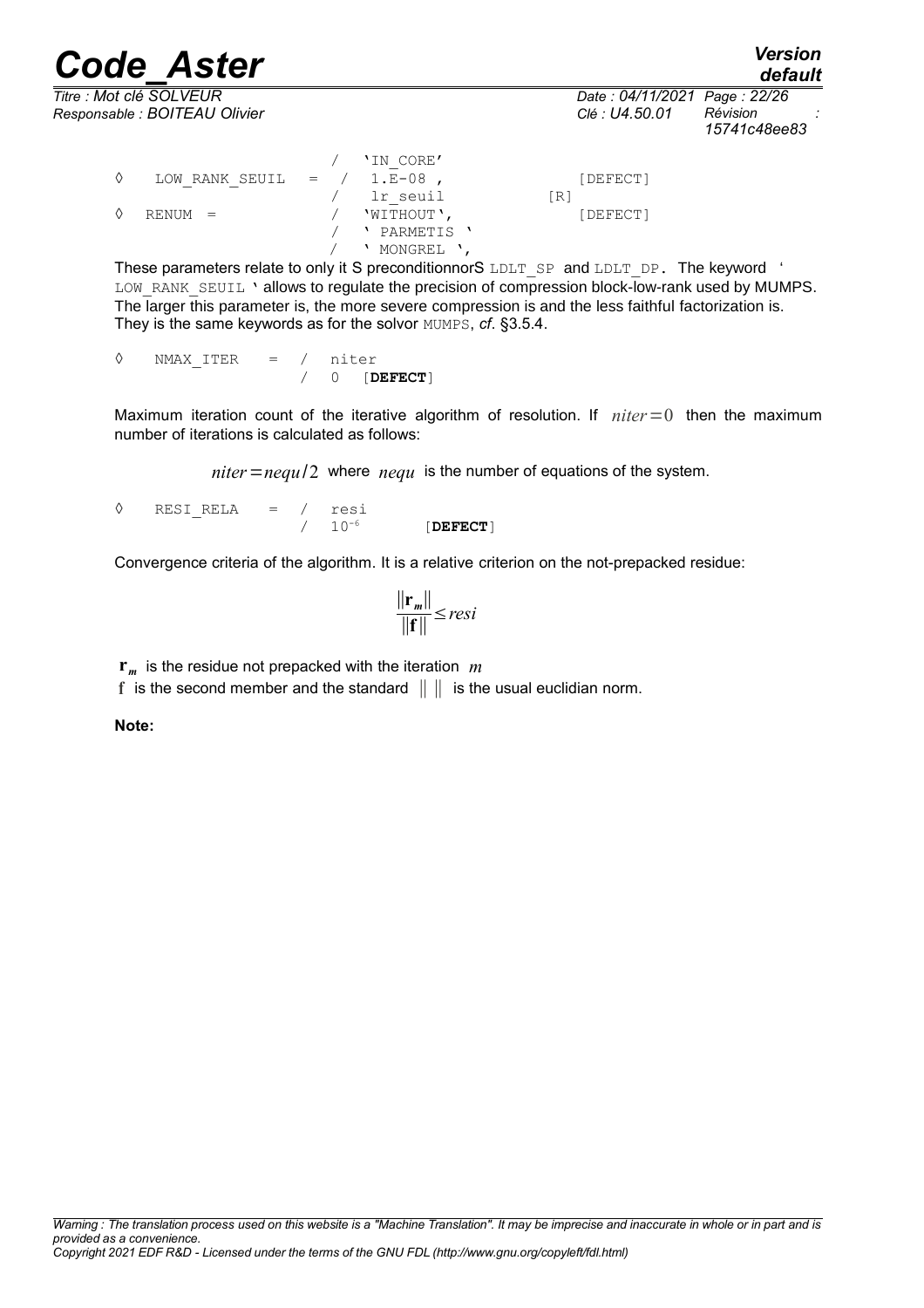*Titre : Mot clé SOLVEUR Date : 04/11/2021 Page : 22/26 Responsable : BOITEAU Olivier Clé : U4.50.01 Révision :*

*Code\_Aster Version default*

*15741c48ee83*

|   |                               | 'IN CORE'             |     |          |
|---|-------------------------------|-----------------------|-----|----------|
| ♦ | LOW RANK SEUIL $=$ $/$ 1.E-08 |                       |     | [DEFECT] |
|   |                               | lr seuil              | [R] |          |
| ♦ | $RENUM =$                     | 'WITHOUT',            |     | [DEFECT] |
|   |                               | PARMETIS <sup>'</sup> |     |          |
|   |                               | MONGREL '             |     |          |

These parameters relate to only it S preconditionnorS LDLT SP and LDLT DP. The keyword ' LOW RANK SEUIL ' allows to regulate the precision of compression block-low-rank used by MUMPS. The larger this parameter is, the more severe compression is and the less faithful factorization is. They is the same keywords as for the solvor MUMPS, *cf*. [§3.5.4.](#page-13-0)

◊ NMAX\_ITER = / niter / 0 [**DEFECT**]

Maximum iteration count of the iterative algorithm of resolution. If *niter* = 0 then the maximum number of iterations is calculated as follows:

 $niter = \frac{nequ}{2}$  where  $\frac{nequ}{2}$  is the number of equations of the system.

 $\sqrt[3]{}$  RESI\_RELA = / resi / 10-6 [**DEFECT**]

Convergence criteria of the algorithm. It is a relative criterion on the not-prepacked residue:

$$
\frac{\|\mathbf{r}_m\|}{\|\mathbf{f}\|} \leq resi
$$

**r***m* is the residue not prepacked with the iteration *m*

**f** is the second member and the standard ∥ ∥ is the usual euclidian norm.

**Note:**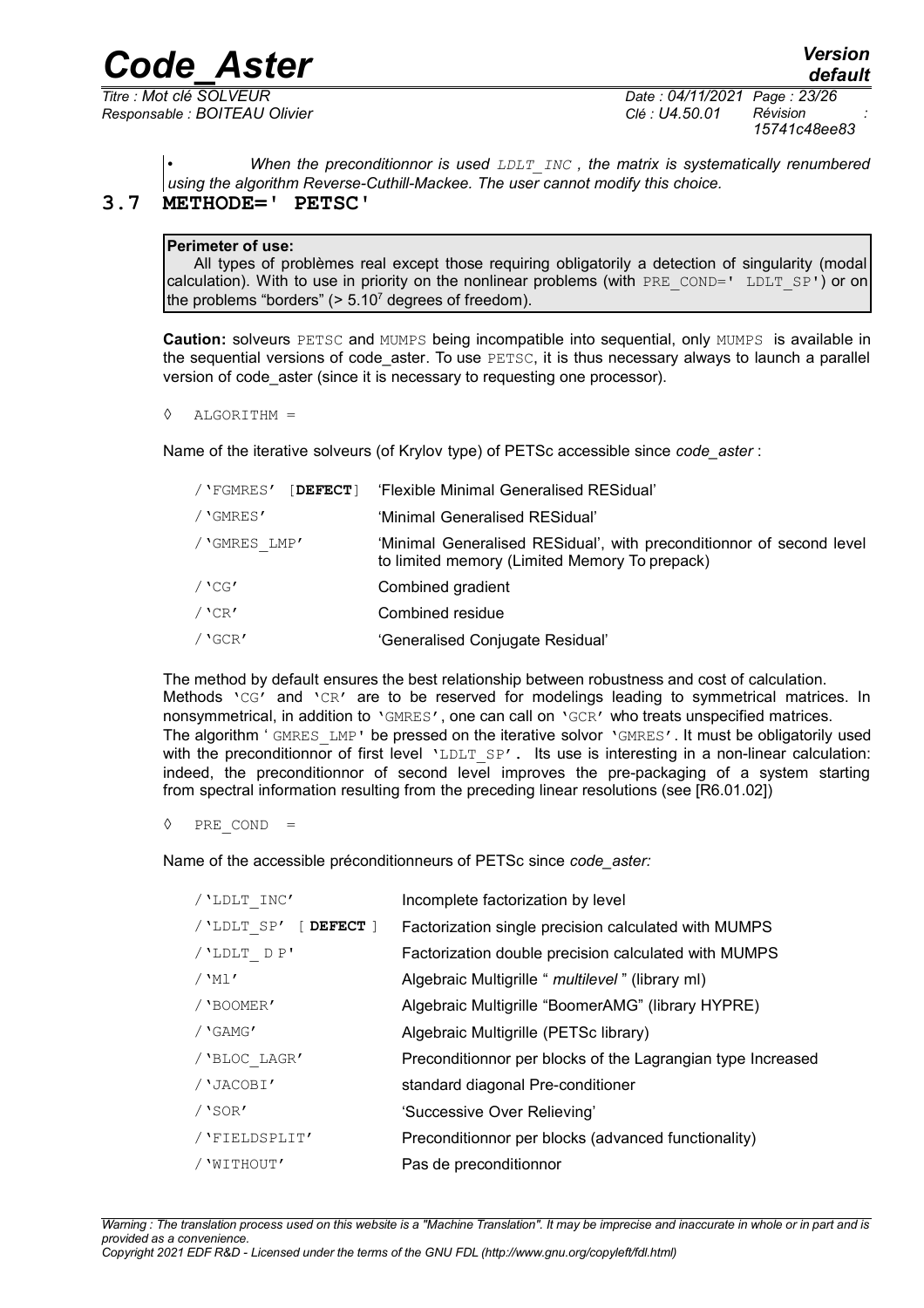*Titre : Mot clé SOLVEUR Date : 04/11/2021 Page : 23/26 Responsable : BOITEAU Olivier Clé : U4.50.01 Révision :*

*15741c48ee83*

<span id="page-22-0"></span>• *When the preconditionnor is used LDLT\_INC , the matrix is systematically renumbered using the algorithm Reverse-Cuthill-Mackee. The user cannot modify this choice.*

#### **3.7 METHODE=' PETSC'**

#### **Perimeter of use:**

All types of problèmes real except those requiring obligatorily a detection of singularity (modal calculation). With to use in priority on the nonlinear problems (with PRE COND=' LDLT  $SP'$ ) or on the problems "borders"  $(> 5.10<sup>7</sup>$  degrees of freedom).

**Caution:** solveurs PETSC and MUMPS being incompatible into sequential, only MUMPS is available in the sequential versions of code\_aster. To use PETSC, it is thus necessary always to launch a parallel version of code aster (since it is necessary to requesting one processor).

```
◊ ALGORITHM =
```
Name of the iterative solveurs (of Krylov type) of PETSc accessible since *code\_aster* :

| / 'FGMRES'   | [DEFECT] 'Flexible Minimal Generalised RESidual'                                                                      |
|--------------|-----------------------------------------------------------------------------------------------------------------------|
| / 'GMRES'    | 'Minimal Generalised RESidual'                                                                                        |
| / GMRES LMP' | 'Minimal Generalised RESidual', with preconditionnor of second level<br>to limited memory (Limited Memory To prepack) |
| $/$ 'CG'     | Combined gradient                                                                                                     |
| $/$ 'CR'     | Combined residue                                                                                                      |
| $/$ 'GCR'    | 'Generalised Conjugate Residual'                                                                                      |

The method by default ensures the best relationship between robustness and cost of calculation. Methods 'CG' and 'CR' are to be reserved for modelings leading to symmetrical matrices. In nonsymmetrical, in addition to 'GMRES', one can call on 'GCR' who treats unspecified matrices. The algorithm ' GMRES LMP' be pressed on the iterative solvor 'GMRES'. It must be obligatorily used with the preconditionnor of first level 'LDLT  $SP'$ . Its use is interesting in a non-linear calculation: indeed, the preconditionnor of second level improves the pre-packaging of a system starting from spectral information resulting from the preceding linear resolutions (see [R6.01.02])

◊ PRE\_COND =

Name of the accessible préconditionneurs of PETSc since *code\_aster:*

| Incomplete factorization by level                           |
|-------------------------------------------------------------|
| Factorization single precision calculated with MUMPS        |
| Factorization double precision calculated with MUMPS        |
| Algebraic Multigrille " multilevel" (library ml)            |
| Algebraic Multigrille "BoomerAMG" (library HYPRE)           |
| Algebraic Multigrille (PETSc library)                       |
| Preconditionnor per blocks of the Lagrangian type Increased |
| standard diagonal Pre-conditioner                           |
| 'Successive Over Relieving'                                 |
| Preconditionnor per blocks (advanced functionality)         |
| Pas de preconditionnor                                      |
|                                                             |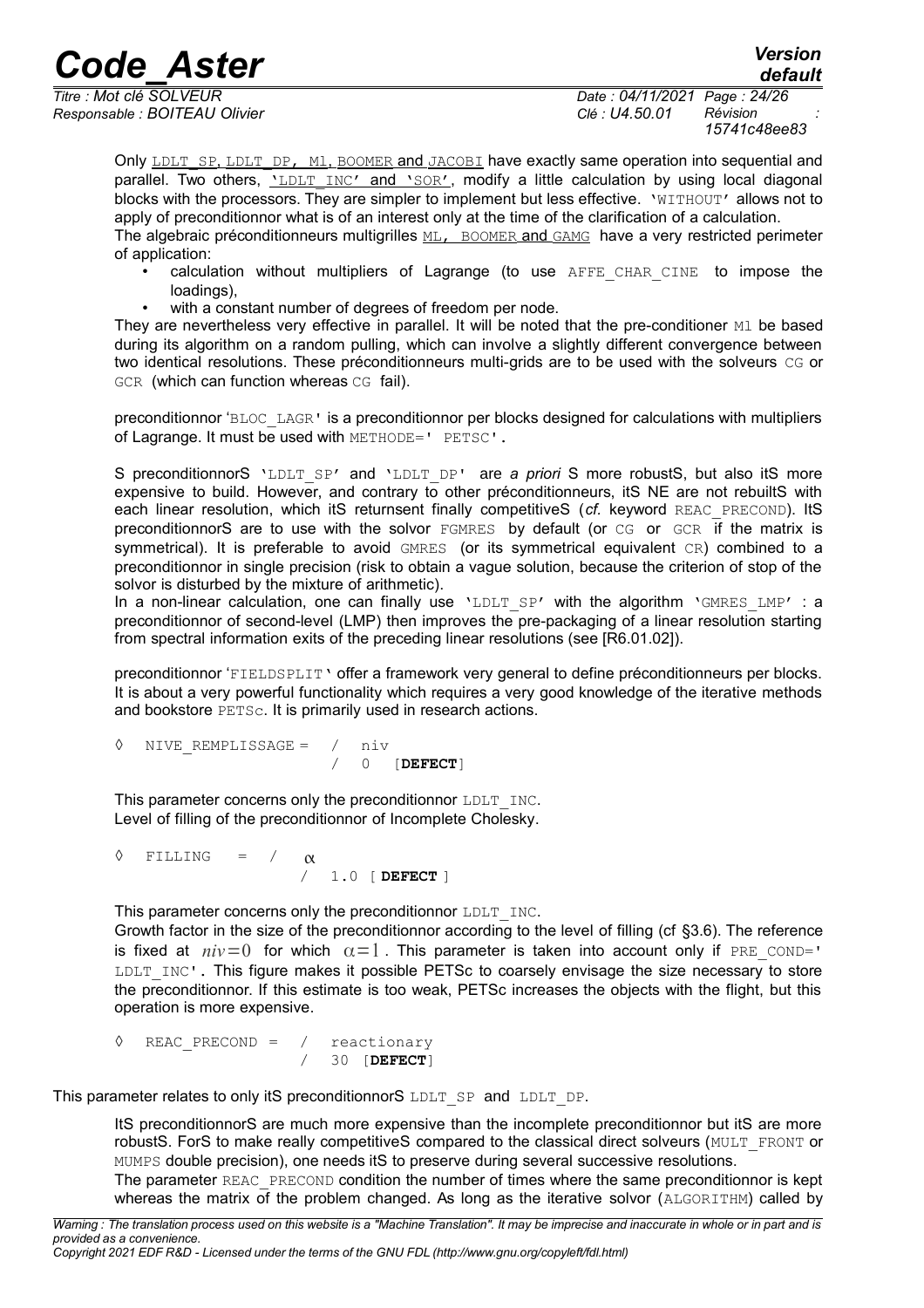*default*

*Responsable : BOITEAU Olivier Clé : U4.50.01 Révision :*

*Titre : Mot clé SOLVEUR Date : 04/11/2021 Page : 24/26 15741c48ee83*

Only LDLT\_SP, LDLT\_DP, Ml, BOOMER and JACOBI have exactly same operation into sequential and parallel. Two others, 'LDLT INC' and 'SOR', modify a little calculation by using local diagonal blocks with the processors. They are simpler to implement but less effective. 'WITHOUT' allows not to apply of preconditionnor what is of an interest only at the time of the clarification of a calculation. The algebraic préconditionneurs multigrilles  $ML$ , BOOMER and GAMG have a very restricted perimeter of application:

- calculation without multipliers of Lagrange (to use AFFE\_CHAR\_CINE to impose the loadings),
- with a constant number of degrees of freedom per node.

They are nevertheless very effective in parallel. It will be noted that the pre-conditioner M1 be based during its algorithm on a random pulling, which can involve a slightly different convergence between two identical resolutions. These préconditionneurs multi-grids are to be used with the solveurs CG or GCR (which can function whereas CG fail).

preconditionnor 'BLOC\_LAGR' is a preconditionnor per blocks designed for calculations with multipliers of Lagrange. It must be used with METHODE=' PETSC'.

S preconditionnorS 'LDLT SP' and 'LDLT DP' are *a priori* S more robustS, but also itS more expensive to build. However, and contrary to other préconditionneurs, itS NE are not rebuiltS with each linear resolution, which itS returnsent finally competitiveS (*cf.* keyword REAC\_PRECOND). ItS preconditionnorS are to use with the solvor FGMRES by default (or CG or GCR if the matrix is symmetrical). It is preferable to avoid GMRES (or its symmetrical equivalent CR) combined to a preconditionnor in single precision (risk to obtain a vague solution, because the criterion of stop of the solvor is disturbed by the mixture of arithmetic).

In a non-linear calculation, one can finally use 'LDLT SP' with the algorithm 'GMRES LMP' : a preconditionnor of second-level (LMP) then improves the pre-packaging of a linear resolution starting from spectral information exits of the preceding linear resolutions (see [R6.01.02]).

preconditionnor 'FIELDSPLIT' offer a framework very general to define préconditionneurs per blocks. It is about a very powerful functionality which requires a very good knowledge of the iterative methods and bookstore PETSc. It is primarily used in research actions.

◊ NIVE\_REMPLISSAGE = / niv / 0 [**DEFECT**]

This parameter concerns only the preconditionnor LDLT INC. Level of filling of the preconditionnor of Incomplete Cholesky.

 $\Diamond$  FILLING =  $/\alpha$ / 1.0 [ **DEFECT** ]

This parameter concerns only the preconditionnor LDLT INC.

Growth factor in the size of the preconditionnor according to the level of filling (cf [§3.6\)](#page-20-0). The reference is fixed at  $niv=0$  for which  $\alpha=1$ . This parameter is taken into account only if PRE COND=' LDLT\_INC'. This figure makes it possible PETSc to coarsely envisage the size necessary to store the preconditionnor. If this estimate is too weak, PETSc increases the objects with the flight, but this operation is more expensive.

◊ REAC\_PRECOND = / reactionary / 30 [**DEFECT**]

This parameter relates to only itS preconditionnorS LDLT\_SP and LDLT\_DP.

ItS preconditionnorS are much more expensive than the incomplete preconditionnor but itS are more robustS. ForS to make really competitiveS compared to the classical direct solveurs (MULT\_FRONT or MUMPS double precision), one needs itS to preserve during several successive resolutions.

The parameter REAC\_PRECOND condition the number of times where the same preconditionnor is kept whereas the matrix of the problem changed. As long as the iterative solvor (ALGORITHM) called by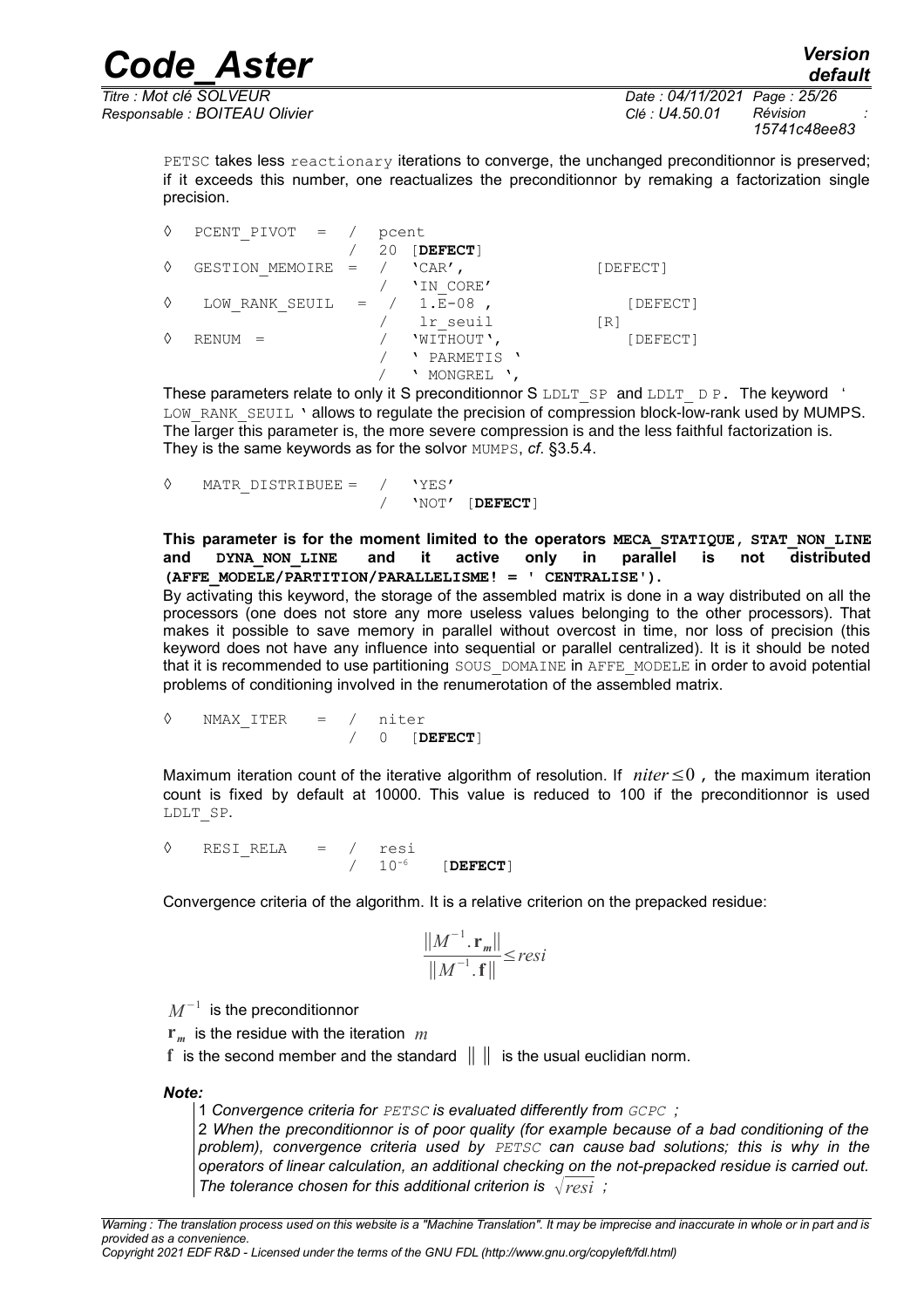*Code\_Aster Version Titre : Mot clé SOLVEUR Date : 04/11/2021 Page : 25/26*

*15741c48ee83*

PETSC takes less reactionary iterations to converge, the unchanged preconditionnor is preserved; if it exceeds this number, one reactualizes the preconditionnor by remaking a factorization single precision.

◊ PCENT\_PIVOT = / pcent / 20 [**DEFECT**]  $\Diamond$  GESTION\_MEMOIRE = / 'CAR', [DEFECT] 'IN CORE'  $\Diamond$  LOW RANK SEUIL = / 1. $E-08$  , [DEFECT] / lr\_seuil [R]  $\Diamond$  RENUM = / 'WITHOUT',  $[DEFECT]$ / ' PARMETIS ' / ' MONGREL ',

These parameters relate to only it S preconditionnor S LDLT\_SP and LDLT\_D P. The keyword ' LOW RANK SEUIL ' allows to regulate the precision of compression block-low-rank used by MUMPS. The larger this parameter is, the more severe compression is and the less faithful factorization is. They is the same keywords as for the solvor MUMPS, *cf*. [§3.5.4.](#page-13-0)

```
◊ MATR_DISTRIBUEE = / 'YES'
                          / 'NOT' [DEFECT]
```
**This parameter is for the moment limited to the operators MECA\_STATIQUE, STAT\_NON\_LINE and DYNA\_NON\_LINE and it active only in parallel is not distributed (AFFE\_MODELE/PARTITION/PARALLELISME! = ' CENTRALISE').**

By activating this keyword, the storage of the assembled matrix is done in a way distributed on all the processors (one does not store any more useless values belonging to the other processors). That makes it possible to save memory in parallel without overcost in time, nor loss of precision (this keyword does not have any influence into sequential or parallel centralized). It is it should be noted that it is recommended to use partitioning SOUS\_DOMAINE in AFFE\_MODELE in order to avoid potential problems of conditioning involved in the renumerotation of the assembled matrix.

$$
\lozenge \quad \text{NMAX\_ITER} \quad = \quad / \quad \text{niter} \quad \text{DEFECT}
$$

Maximum iteration count of the iterative algorithm of resolution. If *niter*≤0 , the maximum iteration count is fixed by default at 10000. This value is reduced to 100 if the preconditionnor is used LDLT\_SP.

◊ RESI\_RELA = / resi / 10-6 [**DEFECT**]

Convergence criteria of the algorithm. It is a relative criterion on the prepacked residue:

$$
\frac{\left\|M^{-1}.\mathbf{r}_{m}\right\|}{\left\|M^{-1}.\mathbf{f}\right\|} \leq resi
$$

 $M^{-1}\,$  is the preconditionnor

**r***m* is the residue with the iteration *m*

**f** is the second member and the standard ∥ ∥ is the usual euclidian norm.

*Note:*

1 *Convergence criteria for PETSC is evaluated differently from GCPC ;*

2 *When the preconditionnor is of poor quality (for example because of a bad conditioning of the problem), convergence criteria used by PETSC can cause bad solutions; this is why in the operators of linear calculation, an additional checking on the not-prepacked residue is carried out. The tolerance chosen for this additional criterion is*  $\sqrt{resi}$  *;*